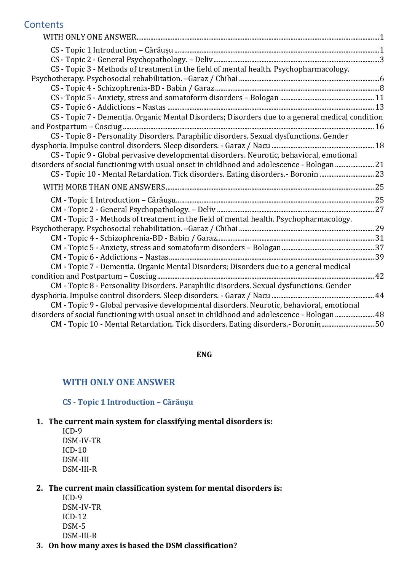## **Contents**

| CS - Topic 3 - Methods of treatment in the field of mental health. Psychopharmacology.          |  |
|-------------------------------------------------------------------------------------------------|--|
|                                                                                                 |  |
|                                                                                                 |  |
|                                                                                                 |  |
|                                                                                                 |  |
| CS - Topic 7 - Dementia. Organic Mental Disorders; Disorders due to a general medical condition |  |
|                                                                                                 |  |
| CS - Topic 8 - Personality Disorders. Paraphilic disorders. Sexual dysfunctions. Gender         |  |
|                                                                                                 |  |
| CS - Topic 9 - Global pervasive developmental disorders. Neurotic, behavioral, emotional        |  |
| disorders of social functioning with usual onset in childhood and adolescence - Bologan 21      |  |
| CS - Topic 10 - Mental Retardation. Tick disorders. Eating disorders. - Boronin 23              |  |
|                                                                                                 |  |
|                                                                                                 |  |
|                                                                                                 |  |
| CM - Topic 3 - Methods of treatment in the field of mental health. Psychopharmacology.          |  |
|                                                                                                 |  |
|                                                                                                 |  |
|                                                                                                 |  |
|                                                                                                 |  |
| CM - Topic 7 - Dementia. Organic Mental Disorders; Disorders due to a general medical           |  |
|                                                                                                 |  |
| CM - Topic 8 - Personality Disorders. Paraphilic disorders. Sexual dysfunctions. Gender         |  |
|                                                                                                 |  |
| CM - Topic 9 - Global pervasive developmental disorders. Neurotic, behavioral, emotional        |  |
| disorders of social functioning with usual onset in childhood and adolescence - Bologan  48     |  |
| CM - Topic 10 - Mental Retardation. Tick disorders. Eating disorders. - Boronin50               |  |
|                                                                                                 |  |

## **ENG**

## <span id="page-0-0"></span>**WITH ONLY ONE ANSWER**

## **CS - Topic 1 Introduction – Cărăușu**

## <span id="page-0-1"></span>**1. The current main system for classifying mental disorders is:**

ICD-9 DSM-IV-TR ICD-10 DSM-III DSM-III-R

## **2. The current main classification system for mental disorders is:**

ICD-9 DSM-IV-TR ICD-12 DSM-5 DSM-III-R

## **3. On how many axes is based the DSM classification?**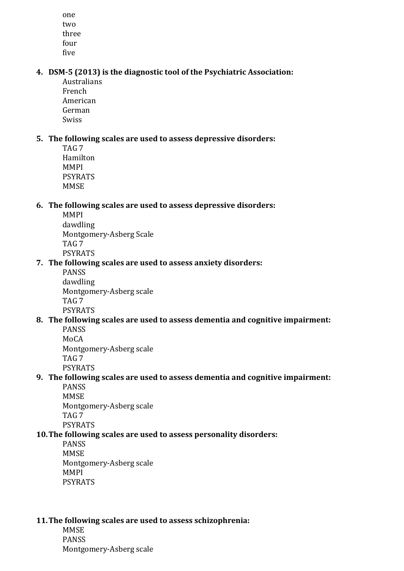one two three four five

### **4. DSM-5 (2013) is the diagnostic tool of the Psychiatric Association:**

Australians French American German Swiss

### **5. The following scales are used to assess depressive disorders:**

TAG 7 Hamilton MMPI PSYRATS **MMSE** 

#### **6. The following scales are used to assess depressive disorders:**

MMPI dawdling Montgomery-Asberg Scale TAG 7 PSYRATS

#### **7. The following scales are used to assess anxiety disorders:**

PANSS dawdling Montgomery-Asberg scale TAG 7 PSYRATS

### **8. The following scales are used to assess dementia and cognitive impairment:**

PANSS MoCA Montgomery-Asberg scale TAG 7

PSYRATS

## **9. The following scales are used to assess dementia and cognitive impairment:**

PANSS **MMSE** Montgomery-Asberg scale TAG 7 PSYRATS

#### **10.The following scales are used to assess personality disorders:**

PANSS **MMSE** Montgomery-Asberg scale MMPI PSYRATS

#### **11.The following scales are used to assess schizophrenia:**

**MMSE** PANSS Montgomery-Asberg scale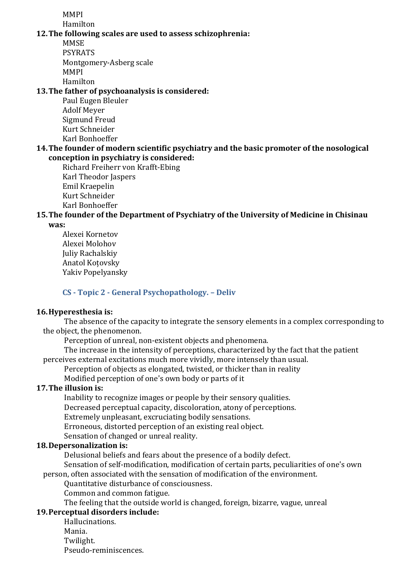MMPI

Hamilton

#### **12.The following scales are used to assess schizophrenia:**

**MMSE** PSYRATS Montgomery-Asberg scale MMPI

Hamilton

## **13.The father of psychoanalysis is considered:**

Paul Eugen Bleuler Adolf Meyer Sigmund Freud Kurt Schneider Karl Bonhoeffer

### **14.The founder of modern scientific psychiatry and the basic promoter of the nosological conception in psychiatry is considered:**

Richard Freiherr von Krafft-Ebing Karl Theodor Jaspers Emil Kraepelin Kurt Schneider Karl Bonhoeffer

# **15.The founder of the Department of Psychiatry of the University of Medicine in Chisinau**

**was:**

Alexei Kornetov Alexei Molohov Juliy Rachalskiy Anatol Koțovsky Yakiv Popelyansky

## **CS - Topic 2 - General Psychopathology. – Deliv**

## <span id="page-2-0"></span>**16.Hyperesthesia is:**

The absence of the capacity to integrate the sensory elements in a complex corresponding to the object, the phenomenon.

Perception of unreal, non-existent objects and phenomena.

The increase in the intensity of perceptions, characterized by the fact that the patient perceives external excitations much more vividly, more intensely than usual.

Perception of objects as elongated, twisted, or thicker than in reality

Modified perception of one's own body or parts of it

## **17.The illusion is:**

Inability to recognize images or people by their sensory qualities.

Decreased perceptual capacity, discoloration, atony of perceptions.

Extremely unpleasant, excruciating bodily sensations.

Erroneous, distorted perception of an existing real object.

Sensation of changed or unreal reality.

## **18.Depersonalization is:**

Delusional beliefs and fears about the presence of a bodily defect.

Sensation of self-modification, modification of certain parts, peculiarities of one's own person, often associated with the sensation of modification of the environment.

Quantitative disturbance of consciousness.

Common and common fatigue.

The feeling that the outside world is changed, foreign, bizarre, vague, unreal

## **19.Perceptual disorders include:**

Hallucinations. Mania. Twilight. Pseudo-reminiscences.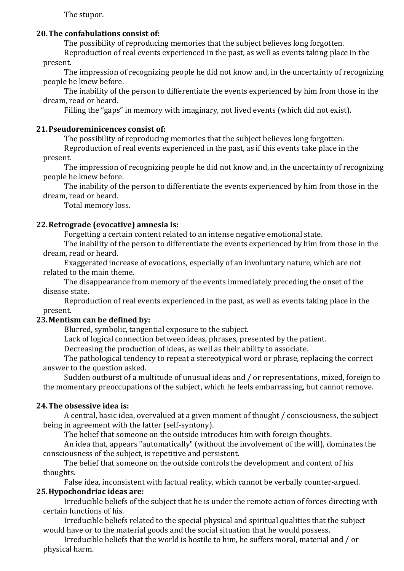The stupor.

#### **20.The confabulations consist of:**

The possibility of reproducing memories that the subject believes long forgotten.

Reproduction of real events experienced in the past, as well as events taking place in the present.

The impression of recognizing people he did not know and, in the uncertainty of recognizing people he knew before.

The inability of the person to differentiate the events experienced by him from those in the dream, read or heard.

Filling the "gaps" in memory with imaginary, not lived events (which did not exist).

#### **21.Pseudoreminicences consist of:**

The possibility of reproducing memories that the subject believes long forgotten.

Reproduction of real events experienced in the past, as if this events take place in the present.

The impression of recognizing people he did not know and, in the uncertainty of recognizing people he knew before.

The inability of the person to differentiate the events experienced by him from those in the dream, read or heard.

Total memory loss.

#### **22.Retrograde (evocative) amnesia is:**

Forgetting a certain content related to an intense negative emotional state.

The inability of the person to differentiate the events experienced by him from those in the dream, read or heard.

Exaggerated increase of evocations, especially of an involuntary nature, which are not related to the main theme.

The disappearance from memory of the events immediately preceding the onset of the disease state.

Reproduction of real events experienced in the past, as well as events taking place in the present.

#### **23.Mentism can be defined by:**

Blurred, symbolic, tangential exposure to the subject.

Lack of logical connection between ideas, phrases, presented by the patient.

Decreasing the production of ideas, as well as their ability to associate.

The pathological tendency to repeat a stereotypical word or phrase, replacing the correct answer to the question asked.

Sudden outburst of a multitude of unusual ideas and / or representations, mixed, foreign to the momentary preoccupations of the subject, which he feels embarrassing, but cannot remove.

#### **24.The obsessive idea is:**

A central, basic idea, overvalued at a given moment of thought / consciousness, the subject being in agreement with the latter (self-syntony).

The belief that someone on the outside introduces him with foreign thoughts.

An idea that, appears "automatically" (without the involvement of the will), dominates the consciousness of the subject, is repetitive and persistent.

The belief that someone on the outside controls the development and content of his thoughts.

False idea, inconsistent with factual reality, which cannot be verbally counter-argued.

## **25.Hypochondriac ideas are:**

Irreducible beliefs of the subject that he is under the remote action of forces directing with certain functions of his.

Irreducible beliefs related to the special physical and spiritual qualities that the subject would have or to the material goods and the social situation that he would possess.

Irreducible beliefs that the world is hostile to him, he suffers moral, material and / or physical harm.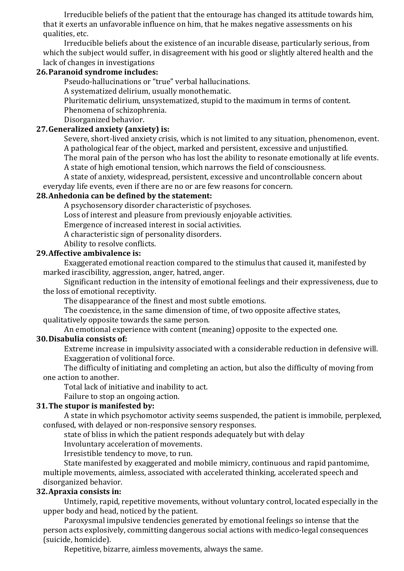Irreducible beliefs of the patient that the entourage has changed its attitude towards him, that it exerts an unfavorable influence on him, that he makes negative assessments on his qualities, etc.

Irreducible beliefs about the existence of an incurable disease, particularly serious, from which the subject would suffer, in disagreement with his good or slightly altered health and the lack of changes in investigations

### **26.Paranoid syndrome includes:**

Pseudo-hallucinations or "true" verbal hallucinations.

A systematized delirium, usually monothematic.

Pluritematic delirium, unsystematized, stupid to the maximum in terms of content.

Phenomena of schizophrenia.

Disorganized behavior.

#### **27.Generalized anxiety (anxiety) is:**

Severe, short-lived anxiety crisis, which is not limited to any situation, phenomenon, event. A pathological fear of the object, marked and persistent, excessive and unjustified.

The moral pain of the person who has lost the ability to resonate emotionally at life events. A state of high emotional tension, which narrows the field of consciousness.

A state of anxiety, widespread, persistent, excessive and uncontrollable concern about everyday life events, even if there are no or are few reasons for concern.

#### **28.Anhedonia can be defined by the statement:**

A psychosensory disorder characteristic of psychoses.

Loss of interest and pleasure from previously enjoyable activities.

Emergence of increased interest in social activities.

A characteristic sign of personality disorders.

Ability to resolve conflicts.

#### **29.Affective ambivalence is:**

Exaggerated emotional reaction compared to the stimulus that caused it, manifested by marked irascibility, aggression, anger, hatred, anger.

Significant reduction in the intensity of emotional feelings and their expressiveness, due to the loss of emotional receptivity.

The disappearance of the finest and most subtle emotions.

The coexistence, in the same dimension of time, of two opposite affective states, qualitatively opposite towards the same person.

An emotional experience with content (meaning) opposite to the expected one.

#### **30.Disabulia consists of:**

Extreme increase in impulsivity associated with a considerable reduction in defensive will. Exaggeration of volitional force.

The difficulty of initiating and completing an action, but also the difficulty of moving from one action to another.

Total lack of initiative and inability to act.

Failure to stop an ongoing action.

#### **31.The stupor is manifested by:**

A state in which psychomotor activity seems suspended, the patient is immobile, perplexed, confused, with delayed or non-responsive sensory responses.

state of bliss in which the patient responds adequately but with delay

Involuntary acceleration of movements.

Irresistible tendency to move, to run.

State manifested by exaggerated and mobile mimicry, continuous and rapid pantomime, multiple movements, aimless, associated with accelerated thinking, accelerated speech and disorganized behavior.

#### **32.Apraxia consists in:**

Untimely, rapid, repetitive movements, without voluntary control, located especially in the upper body and head, noticed by the patient.

Paroxysmal impulsive tendencies generated by emotional feelings so intense that the person acts explosively, committing dangerous social actions with medico-legal consequences (suicide, homicide).

Repetitive, bizarre, aimless movements, always the same.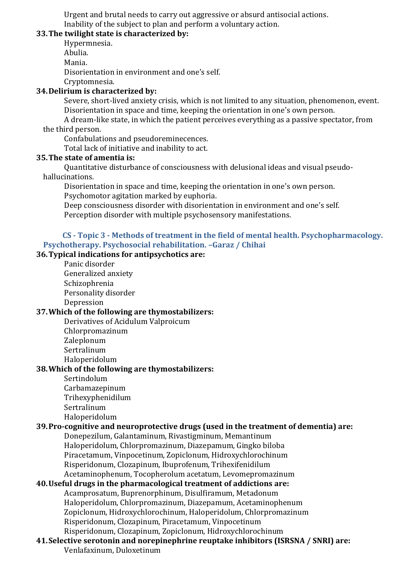Urgent and brutal needs to carry out aggressive or absurd antisocial actions. Inability of the subject to plan and perform a voluntary action.

### **33.The twilight state is characterized by:**

Hypermnesia. Abulia. Mania. Disorientation in environment and one's self. Cryptomnesia.

### **34.Delirium is characterized by:**

Severe, short-lived anxiety crisis, which is not limited to any situation, phenomenon, event. Disorientation in space and time, keeping the orientation in one's own person.

A dream-like state, in which the patient perceives everything as a passive spectator, from the third person.

Confabulations and pseudoreminecences.

Total lack of initiative and inability to act.

#### **35.The state of amentia is:**

Quantitative disturbance of consciousness with delusional ideas and visual pseudohallucinations.

Disorientation in space and time, keeping the orientation in one's own person. Psychomotor agitation marked by euphoria.

Deep consciousness disorder with disorientation in environment and one's self. Perception disorder with multiple psychosensory manifestations.

### <span id="page-5-0"></span>**CS - Topic 3 - Methods of treatment in the field of mental health. Psychopharmacology. Psychotherapy. Psychosocial rehabilitation. –Garaz / Chihai**

#### **36.Typical indications for antipsychotics are:**

Panic disorder Generalized anxiety Schizophrenia Personality disorder Depression

#### **37.Which of the following are thymostabilizers:**

Derivatives of Acidulum Valproicum Chlorpromazinum Zaleplonum Sertralinum Haloperidolum

#### **38.Which of the following are thymostabilizers:**

Sertindolum

Carbamazepinum Trihexyphenidilum Sertralinum Haloperidolum

## **39.Pro-cognitive and neuroprotective drugs (used in the treatment of dementia) are:**

Donepezilum, Galantaminum, Rivastigminum, Memantinum Haloperidolum, Chlorpromazinum, Diazepamum, Gingko biloba Piracetamum, Vinpocetinum, Zopiclonum, Hidroxychlorochinum Risperidonum, Clozapinum, Ibuprofenum, Trihexifenidilum Acetaminophenum, Tocopherolum acetatum, Levomepromazinum

## **40.Useful drugs in the pharmacological treatment of addictions are:**

Acamprosatum, Buprenorphinum, Disulfiramum, Metadonum Haloperidolum, Chlorpromazinum, Diazepamum, Acetaminophenum Zopiclonum, Hidroxychlorochinum, Haloperidolum, Chlorpromazinum Risperidonum, Clozapinum, Piracetamum, Vinpocetinum Risperidonum, Clozapinum, Zopiclonum, Hidroxychlorochinum

## **41.Selective serotonin and norepinephrine reuptake inhibitors (ISRSNA / SNRI) are:** Venlafaxinum, Duloxetinum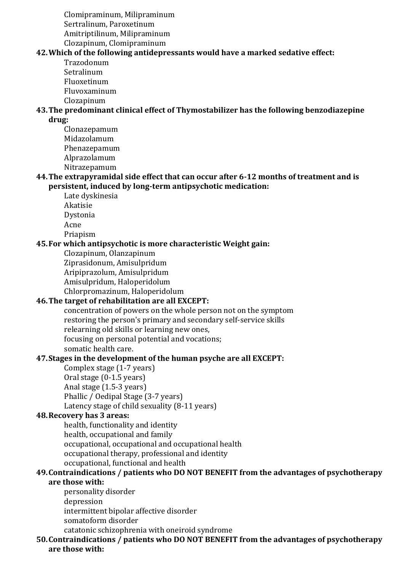Clomipraminum, Milipraminum Sertralinum, Paroxetinum Amitriptilinum, Milipraminum Clozapinum, Clomipraminum

#### **42.Which of the following antidepressants would have a marked sedative effect:**

Trazodonum Setralinum Fluoxetinum Fluvoxaminum Clozapinum

#### **43.The predominant clinical effect of Thymostabilizer has the following benzodiazepine drug:**

Clonazepamum Midazolamum Phenazepamum Alprazolamum Nitrazepamum

#### **44.The extrapyramidal side effect that can occur after 6-12 months of treatment and is persistent, induced by long-term antipsychotic medication:**

Late dyskinesia Akatisie

Dystonia

Acne

Priapism

### **45.For which antipsychotic is more characteristic Weight gain:**

Clozapinum, Olanzapinum

Ziprasidonum, Amisulpridum

Aripiprazolum, Amisulpridum

Amisulpridum, Haloperidolum

Chlorpromazinum, Haloperidolum

## **46.The target of rehabilitation are all EXCEPT:**

concentration of powers on the whole person not on the symptom restoring the person's primary and secondary self-service skills relearning old skills or learning new ones, focusing on personal potential and vocations; somatic health care.

## **47.Stages in the development of the human psyche are all EXCEPT:**

Complex stage (1-7 years) Oral stage (0-1.5 years) Anal stage (1.5-3 years) Phallic / Oedipal Stage (3-7 years) Latency stage of child sexuality (8-11 years)

#### **48.Recovery has 3 areas:**

health, functionality and identity health, occupational and family occupational, occupational and occupational health occupational therapy, professional and identity occupational, functional and health

### **49.Contraindications / patients who DO NOT BENEFIT from the advantages of psychotherapy are those with:**

personality disorder depression intermittent bipolar affective disorder somatoform disorder catatonic schizophrenia with oneiroid syndrome

**50.Contraindications / patients who DO NOT BENEFIT from the advantages of psychotherapy are those with:**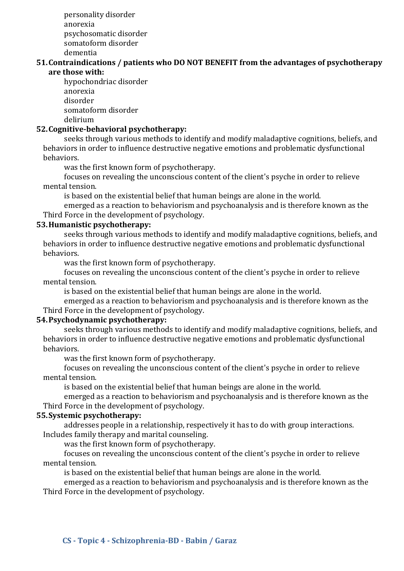personality disorder anorexia psychosomatic disorder somatoform disorder dementia

#### **51.Contraindications / patients who DO NOT BENEFIT from the advantages of psychotherapy are those with:**

hypochondriac disorder anorexia disorder somatoform disorder delirium

#### **52.Cognitive-behavioral psychotherapy:**

seeks through various methods to identify and modify maladaptive cognitions, beliefs, and behaviors in order to influence destructive negative emotions and problematic dysfunctional behaviors.

was the first known form of psychotherapy.

focuses on revealing the unconscious content of the client's psyche in order to relieve mental tension.

is based on the existential belief that human beings are alone in the world.

emerged as a reaction to behaviorism and psychoanalysis and is therefore known as the Third Force in the development of psychology.

#### **53.Humanistic psychotherapy:**

seeks through various methods to identify and modify maladaptive cognitions, beliefs, and behaviors in order to influence destructive negative emotions and problematic dysfunctional behaviors.

was the first known form of psychotherapy.

focuses on revealing the unconscious content of the client's psyche in order to relieve mental tension.

is based on the existential belief that human beings are alone in the world.

emerged as a reaction to behaviorism and psychoanalysis and is therefore known as the Third Force in the development of psychology.

#### **54.Psychodynamic psychotherapy:**

seeks through various methods to identify and modify maladaptive cognitions, beliefs, and behaviors in order to influence destructive negative emotions and problematic dysfunctional behaviors.

was the first known form of psychotherapy.

focuses on revealing the unconscious content of the client's psyche in order to relieve mental tension.

is based on the existential belief that human beings are alone in the world.

emerged as a reaction to behaviorism and psychoanalysis and is therefore known as the Third Force in the development of psychology.

#### **55.Systemic psychotherapy:**

addresses people in a relationship, respectively it has to do with group interactions. Includes family therapy and marital counseling.

was the first known form of psychotherapy.

focuses on revealing the unconscious content of the client's psyche in order to relieve mental tension.

is based on the existential belief that human beings are alone in the world.

<span id="page-7-0"></span>emerged as a reaction to behaviorism and psychoanalysis and is therefore known as the Third Force in the development of psychology.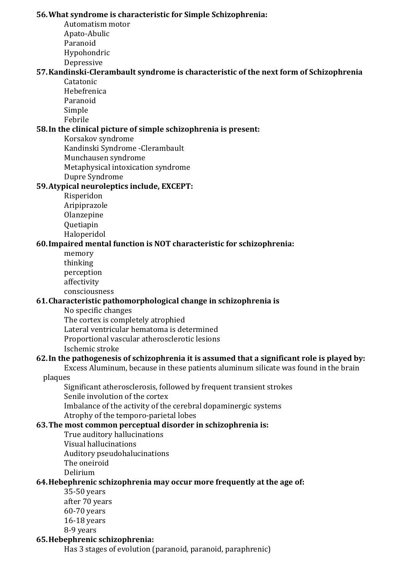#### **56.What syndrome is characteristic for Simple Schizophrenia:**

Automatism motor Apato-Abulic Paranoid Hypohondric Depressive

## **57.Kandinski-Clerambault syndrome is characteristic of the next form of Schizophrenia**

Catatonic Hebefrenica Paranoid Simple

Febrile

## **58.In the clinical picture of simple schizophrenia is present:**

Korsakov syndrome

Kandinski Syndrome -Clerambault

Munchausen syndrome

Metaphysical intoxication syndrome

Dupre Syndrome

## **59.Atypical neuroleptics include, EXCEPT:**

Risperidon Aripiprazole

Olanzepine Quetiapin Haloperidol

## **60.Impaired mental function is NOT characteristic for schizophrenia:**

memory thinking perception affectivity consciousness

## **61.Characteristic pathomorphological change in schizophrenia is**

No specific changes

The cortex is completely atrophied

Lateral ventricular hematoma is determined

Proportional vascular atherosclerotic lesions

Ischemic stroke

## **62.In the pathogenesis of schizophrenia it is assumed that a significant role is played by:**

Excess Aluminum, because in these patients aluminum silicate was found in the brain plaques

Significant atherosclerosis, followed by frequent transient strokes Senile involution of the cortex Imbalance of the activity of the cerebral dopaminergic systems Atrophy of the temporo-parietal lobes

#### **63.The most common perceptual disorder in schizophrenia is:**

True auditory hallucinations

- Visual hallucinations
- Auditory pseudohalucinations
- The oneiroid

Delirium

## **64.Hebephrenic schizophrenia may occur more frequently at the age of:**

35-50 years after 70 years 60-70 years 16-18 years 8-9 years

## **65.Hebephrenic schizophrenia:**

Has 3 stages of evolution (paranoid, paranoid, paraphrenic)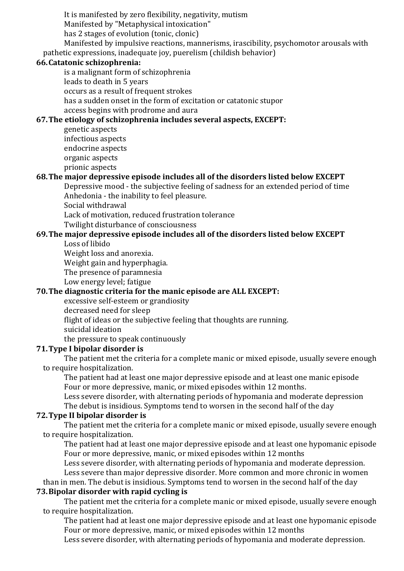It is manifested by zero flexibility, negativity, mutism Manifested by "Metaphysical intoxication" has 2 stages of evolution (tonic, clonic)

Manifested by impulsive reactions, mannerisms, irascibility, psychomotor arousals with pathetic expressions, inadequate joy, puerelism (childish behavior)

#### **66.Catatonic schizophrenia:**

is a malignant form of schizophrenia

leads to death in 5 years

occurs as a result of frequent strokes

has a sudden onset in the form of excitation or catatonic stupor

access begins with prodrome and aura

### **67.The etiology of schizophrenia includes several aspects, EXCEPT:**

genetic aspects infectious aspects endocrine aspects organic aspects prionic aspects

### **68.The major depressive episode includes all of the disorders listed below EXCEPT**

Depressive mood - the subjective feeling of sadness for an extended period of time Anhedonia - the inability to feel pleasure.

Social withdrawal

Lack of motivation, reduced frustration tolerance

Twilight disturbance of consciousness

## **69.The major depressive episode includes all of the disorders listed below EXCEPT**

Loss of libido

Weight loss and anorexia.

Weight gain and hyperphagia.

The presence of paramnesia

Low energy level; fatigue

## **70.The diagnostic criteria for the manic episode are ALL EXCEPT:**

excessive self-esteem or grandiosity

decreased need for sleep

flight of ideas or the subjective feeling that thoughts are running.

suicidal ideation

the pressure to speak continuously

#### **71.Type I bipolar disorder is**

The patient met the criteria for a complete manic or mixed episode, usually severe enough to require hospitalization.

The patient had at least one major depressive episode and at least one manic episode Four or more depressive, manic, or mixed episodes within 12 months.

Less severe disorder, with alternating periods of hypomania and moderate depression The debut is insidious. Symptoms tend to worsen in the second half of the day

#### **72.Type II bipolar disorder is**

The patient met the criteria for a complete manic or mixed episode, usually severe enough to require hospitalization.

The patient had at least one major depressive episode and at least one hypomanic episode Four or more depressive, manic, or mixed episodes within 12 months

Less severe disorder, with alternating periods of hypomania and moderate depression. Less severe than major depressive disorder. More common and more chronic in women

than in men. The debut is insidious. Symptoms tend to worsen in the second half of the day

#### **73.Bipolar disorder with rapid cycling is**

The patient met the criteria for a complete manic or mixed episode, usually severe enough to require hospitalization.

The patient had at least one major depressive episode and at least one hypomanic episode Four or more depressive, manic, or mixed episodes within 12 months

Less severe disorder, with alternating periods of hypomania and moderate depression.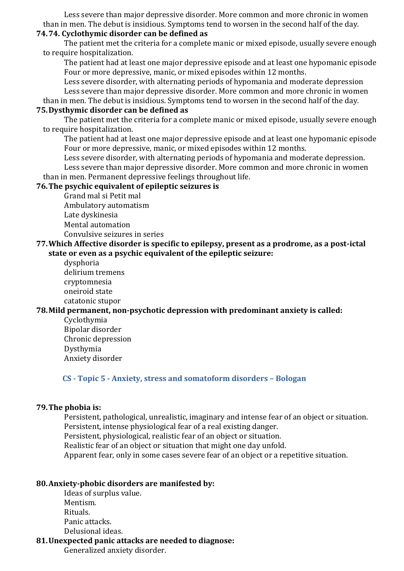Less severe than major depressive disorder. More common and more chronic in women than in men. The debut is insidious. Symptoms tend to worsen in the second half of the day.

#### **74.74. Cyclothymic disorder can be defined as**

The patient met the criteria for a complete manic or mixed episode, usually severe enough to require hospitalization.

The patient had at least one major depressive episode and at least one hypomanic episode Four or more depressive, manic, or mixed episodes within 12 months.

Less severe disorder, with alternating periods of hypomania and moderate depression Less severe than major depressive disorder. More common and more chronic in women than in men. The debut is insidious. Symptoms tend to worsen in the second half of the day.

#### **75.Dysthymic disorder can be defined as**

The patient met the criteria for a complete manic or mixed episode, usually severe enough to require hospitalization.

The patient had at least one major depressive episode and at least one hypomanic episode Four or more depressive, manic, or mixed episodes within 12 months.

Less severe disorder, with alternating periods of hypomania and moderate depression. Less severe than major depressive disorder. More common and more chronic in women

## than in men. Permanent depressive feelings throughout life.

#### **76.The psychic equivalent of epileptic seizures is**

Grand mal si Petit mal Ambulatory automatism Late dyskinesia Mental automation Convulsive seizures in series

#### **77.Which Affective disorder is specific to epilepsy, present as a prodrome, as a post-ictal state or even as a psychic equivalent of the epileptic seizure:**

dysphoria delirium tremens cryptomnesia oneiroid state catatonic stupor

#### **78.Mild permanent, non-psychotic depression with predominant anxiety is called:**

Cyclothymia Bipolar disorder Chronic depression Dysthymia Anxiety disorder

#### **CS - Topic 5 - Anxiety, stress and somatoform disorders – Bologan**

#### <span id="page-10-0"></span>**79.The phobia is:**

Persistent, pathological, unrealistic, imaginary and intense fear of an object or situation. Persistent, intense physiological fear of a real existing danger. Persistent, physiological, realistic fear of an object or situation. Realistic fear of an object or situation that might one day unfold. Apparent fear, only in some cases severe fear of an object or a repetitive situation.

#### **80.Anxiety-phobic disorders are manifested by:**

Ideas of surplus value. Mentism. Rituals. Panic attacks. Delusional ideas.

#### **81.Unexpected panic attacks are needed to diagnose:**

Generalized anxiety disorder.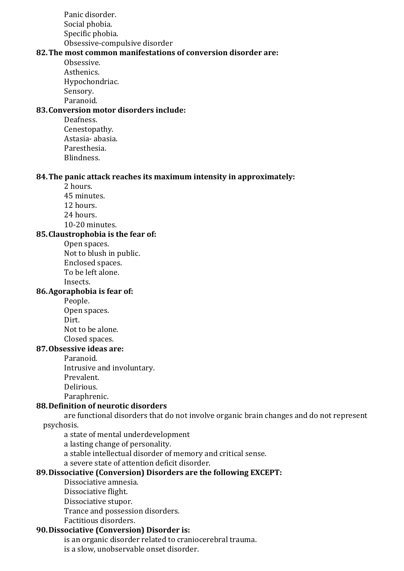Panic disorder. Social phobia. Specific phobia. Obsessive-compulsive disorder

#### **82.The most common manifestations of conversion disorder are:**

Obsessive. Asthenics. Hypochondriac. Sensory. Paranoid.

#### **83.Conversion motor disorders include:**

Deafness. Cenestopathy. Astasia- abasia. Paresthesia. Blindness.

#### **84.The panic attack reaches its maximum intensity in approximately:**

- 2 hours. 45 minutes.
- 12 hours.
- 24 hours.
- 10-20 minutes.

#### **85.Claustrophobia is the fear of:**

- Open spaces. Not to blush in public.
- Enclosed spaces.
- To be left alone.
- Insects.

#### **86.Agoraphobia is fear of:**

People. Open spaces. Dirt. Not to be alone. Closed spaces.

#### **87.Obsessive ideas are:**

Paranoid. Intrusive and involuntary. Prevalent. Delirious. Paraphrenic.

#### **88.Definition of neurotic disorders**

are functional disorders that do not involve organic brain changes and do not represent psychosis.

a state of mental underdevelopment

- a lasting change of personality.
- a stable intellectual disorder of memory and critical sense.

a severe state of attention deficit disorder.

#### **89.Dissociative (Conversion) Disorders are the following EXCEPT:**

- Dissociative amnesia.
	- Dissociative flight.
	- Dissociative stupor.

Trance and possession disorders.

Factitious disorders.

#### **90.Dissociative (Conversion) Disorder is:**

is an organic disorder related to craniocerebral trauma. is a slow, unobservable onset disorder.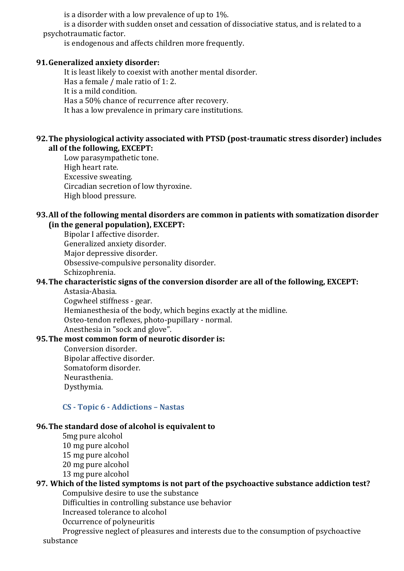is a disorder with a low prevalence of up to 1%.

is a disorder with sudden onset and cessation of dissociative status, and is related to a psychotraumatic factor.

is endogenous and affects children more frequently.

### **91.Generalized anxiety disorder:**

It is least likely to coexist with another mental disorder. Has a female / male ratio of 1: 2. It is a mild condition. Has a 50% chance of recurrence after recovery. It has a low prevalence in primary care institutions.

#### **92.The physiological activity associated with PTSD (post-traumatic stress disorder) includes all of the following, EXCEPT:**

Low parasympathetic tone. High heart rate. Excessive sweating. Circadian secretion of low thyroxine. High blood pressure.

#### **93.All of the following mental disorders are common in patients with somatization disorder (in the general population), EXCEPT:**

Bipolar I affective disorder. Generalized anxiety disorder. Major depressive disorder. Obsessive-compulsive personality disorder.

Schizophrenia.

## **94.The characteristic signs of the conversion disorder are all of the following, EXCEPT:**

Astasia-Abasia.

Cogwheel stiffness - gear. Hemianesthesia of the body, which begins exactly at the midline. Osteo-tendon reflexes, photo-pupillary - normal. Anesthesia in "sock and glove".

#### **95.The most common form of neurotic disorder is:**

Conversion disorder. Bipolar affective disorder. Somatoform disorder. Neurasthenia. Dysthymia.

## **CS - Topic 6 - Addictions – Nastas**

## <span id="page-12-0"></span>**96.The standard dose of alcohol is equivalent to**

5mg pure alcohol 10 mg pure alcohol 15 mg pure alcohol 20 mg pure alcohol

13 mg pure alcohol

## **97. Which of the listed symptoms is not part of the psychoactive substance addiction test?**

Compulsive desire to use the substance

Difficulties in controlling substance use behavior

Increased tolerance to alcohol

Occurrence of polyneuritis

Progressive neglect of pleasures and interests due to the consumption of psychoactive substance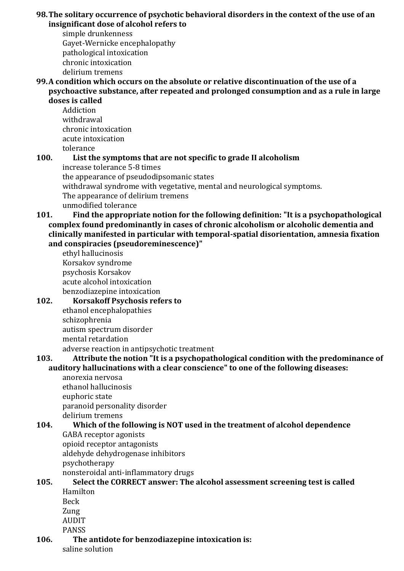#### **98.The solitary occurrence of psychotic behavioral disorders in the context of the use of an insignificant dose of alcohol refers to**

simple drunkenness Gayet-Wernicke encephalopathy pathological intoxication chronic intoxication delirium tremens

#### **99.A condition which occurs on the absolute or relative discontinuation of the use of a psychoactive substance, after repeated and prolonged consumption and as a rule in large doses is called**

Addiction withdrawal chronic intoxication acute intoxication tolerance

## **100. List the symptoms that are not specific to grade II alcoholism**

increase tolerance 5-8 times the appearance of pseudodipsomanic states withdrawal syndrome with vegetative, mental and neurological symptoms. The appearance of delirium tremens unmodified tolerance

- **101. Find the appropriate notion for the following definition: "It is a psychopathological complex found predominantly in cases of chronic alcoholism or alcoholic dementia and clinically manifested in particular with temporal-spatial disorientation, amnesia fixation and conspiracies (pseudoreminescence)"**
	- ethyl hallucinosis Korsakov syndrome psychosis Korsakov acute alcohol intoxication benzodiazepine intoxication

#### **102. Korsakoff Psychosis refers to** ethanol encephalopathies schizophrenia autism spectrum disorder mental retardation adverse reaction in antipsychotic treatment

### **103. Attribute the notion "It is a psychopathological condition with the predominance of auditory hallucinations with a clear conscience" to one of the following diseases:**

anorexia nervosa ethanol hallucinosis euphoric state paranoid personality disorder delirium tremens

## **104. Which of the following is NOT used in the treatment of alcohol dependence**

GABA receptor agonists opioid receptor antagonists aldehyde dehydrogenase inhibitors psychotherapy nonsteroidal anti-inflammatory drugs

## **105. Select the CORRECT answer: The alcohol assessment screening test is called** Hamilton Beck

Zung AUDIT

PANSS

**106. The antidote for benzodiazepine intoxication is:** saline solution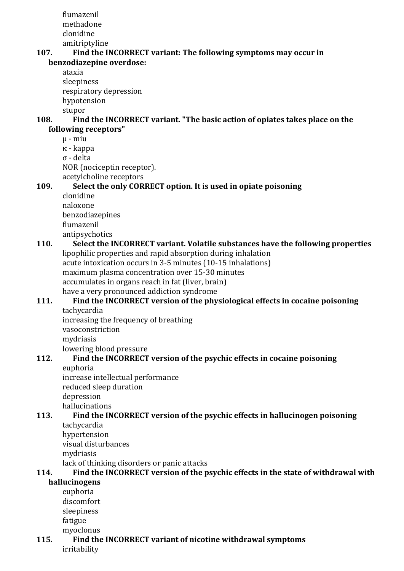flumazenil methadone clonidine amitriptyline

#### **107. Find the INCORRECT variant: The following symptoms may occur in benzodiazepine overdose:**

ataxia sleepiness respiratory depression hypotension stupor

### **108. Find the INCORRECT variant. "The basic action of opiates takes place on the following receptors"**

μ - miu

κ - kappa

σ - delta

NOR (nociceptin receptor).

acetylcholine receptors

## **109. Select the only CORRECT option. It is used in opiate poisoning**

clonidine naloxone benzodiazepines flumazenil

antipsychotics

## **110. Select the INCORRECT variant. Volatile substances have the following properties** lipophilic properties and rapid absorption during inhalation

acute intoxication occurs in 3-5 minutes (10-15 inhalations) maximum plasma concentration over 15-30 minutes accumulates in organs reach in fat (liver, brain) have a very pronounced addiction syndrome

### **111. Find the INCORRECT version of the physiological effects in cocaine poisoning** tachycardia

increasing the frequency of breathing vasoconstriction mydriasis lowering blood pressure

## **112. Find the INCORRECT version of the psychic effects in cocaine poisoning**

euphoria increase intellectual performance reduced sleep duration depression hallucinations

#### **113. Find the INCORRECT version of the psychic effects in hallucinogen poisoning** tachycardia

hypertension visual disturbances mydriasis lack of thinking disorders or panic attacks

## **114. Find the INCORRECT version of the psychic effects in the state of withdrawal with**

## **hallucinogens**

euphoria discomfort sleepiness fatigue myoclonus

## **115. Find the INCORRECT variant of nicotine withdrawal symptoms** irritability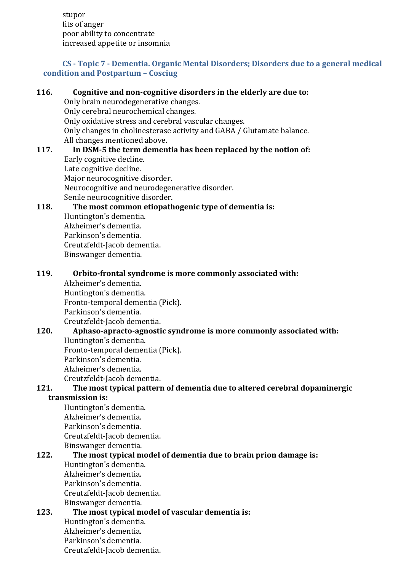stupor fits of anger poor ability to concentrate increased appetite or insomnia

### <span id="page-15-0"></span>**CS - Topic 7 - Dementia. Organic Mental Disorders; Disorders due to a general medical condition and Postpartum – Cosciug**

| 116. | Cognitive and non-cognitive disorders in the elderly are due to:          |
|------|---------------------------------------------------------------------------|
|      | Only brain neurodegenerative changes.                                     |
|      | Only cerebral neurochemical changes.                                      |
|      | Only oxidative stress and cerebral vascular changes.                      |
|      | Only changes in cholinesterase activity and GABA / Glutamate balance.     |
|      | All changes mentioned above.                                              |
| 117. | In DSM-5 the term dementia has been replaced by the notion of:            |
|      | Early cognitive decline.                                                  |
|      | Late cognitive decline.                                                   |
|      | Major neurocognitive disorder.                                            |
|      | Neurocognitive and neurodegenerative disorder.                            |
|      | Senile neurocognitive disorder.                                           |
| 118. | The most common etiopathogenic type of dementia is:                       |
|      | Huntington's dementia.                                                    |
|      | Alzheimer's dementia.                                                     |
|      | Parkinson's dementia.                                                     |
|      | Creutzfeldt-Jacob dementia.                                               |
|      | Binswanger dementia.                                                      |
| 119. | Orbito-frontal syndrome is more commonly associated with:                 |
|      | Alzheimer's dementia.                                                     |
|      | Huntington's dementia.                                                    |
|      | Fronto-temporal dementia (Pick).                                          |
|      | Parkinson's dementia.                                                     |
|      | Creutzfeldt-Jacob dementia.                                               |
| 120. | Aphaso-apracto-agnostic syndrome is more commonly associated with:        |
|      | Huntington's dementia.                                                    |
|      | Fronto-temporal dementia (Pick).                                          |
|      | Parkinson's dementia.                                                     |
|      | Alzheimer's dementia.                                                     |
|      | Creutzfeldt-Jacob dementia.                                               |
| 121. | The most typical pattern of dementia due to altered cerebral dopaminergic |
|      | transmission is:                                                          |
|      | Huntington's dementia.                                                    |
|      | Alzheimer's dementia.                                                     |
|      | Parkinson's dementia.                                                     |
|      | Creutzfeldt-Jacob dementia.                                               |
|      | Binswanger dementia.                                                      |
| 122. | The most typical model of dementia due to brain prion damage is:          |
|      | Huntington's dementia.                                                    |
|      | Alzheimer's dementia.                                                     |
|      | Parkinson's dementia.                                                     |
|      | Creutzfeldt-Jacob dementia.                                               |
|      | Binswanger dementia.                                                      |
| 123. | The most typical model of vascular dementia is:                           |
|      | Huntington's dementia.                                                    |
|      | Alzheimer's dementia.                                                     |

Parkinson's dementia.

Creutzfeldt-Jacob dementia.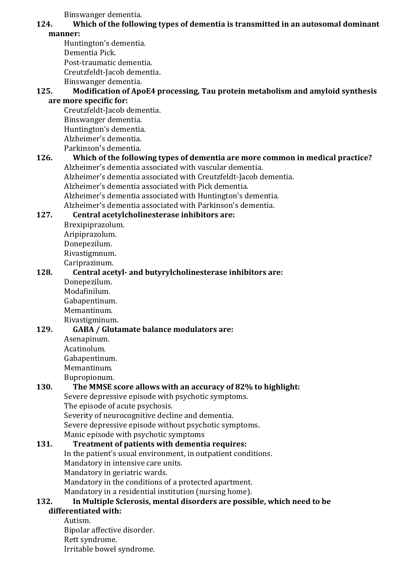Binswanger dementia.

## **124. Which of the following types of dementia is transmitted in an autosomal dominant**

#### **manner:**

Huntington's dementia. Dementia Pick. Post-traumatic dementia. Creutzfeldt-Jacob dementia. Binswanger dementia.

### **125. Modification of ApoE4 processing, Tau protein metabolism and amyloid synthesis are more specific for:**

Creutzfeldt-Jacob dementia. Binswanger dementia. Huntington's dementia. Alzheimer's dementia. Parkinson's dementia.

#### **126. Which of the following types of dementia are more common in medical practice?** Alzheimer's dementia associated with vascular dementia.

Alzheimer's dementia associated with Creutzfeldt-Jacob dementia.

Alzheimer's dementia associated with Pick dementia.

Alzheimer's dementia associated with Huntington's dementia.

Alzheimer's dementia associated with Parkinson's dementia.

## **127. Central acetylcholinesterase inhibitors are:**

Brexipiprazolum. Aripiprazolum. Donepezilum. Rivastigmnum. Cariprazinum.

## **128. Central acetyl- and butyrylcholinesterase inhibitors are:**

Donepezilum. Modafinilum. Gabapentinum. Memantinum. Rivastigminum.

#### **129. GABA / Glutamate balance modulators are:** Asenapinum. Acatinolum. Gabapentinum.

Memantinum.

## Bupropionum.

## **130. The MMSE score allows with an accuracy of 82% to highlight:**

Severe depressive episode with psychotic symptoms. The episode of acute psychosis. Severity of neurocognitive decline and dementia. Severe depressive episode without psychotic symptoms. Manic episode with psychotic symptoms

## **131. Treatment of patients with dementia requires:**

In the patient's usual environment, in outpatient conditions.

Mandatory in intensive care units.

Mandatory in geriatric wards.

Mandatory in the conditions of a protected apartment.

Mandatory in a residential institution (nursing home).

#### **132. In Multiple Sclerosis, mental disorders are possible, which need to be differentiated with:**

## Autism.

Bipolar affective disorder. Rett syndrome. Irritable bowel syndrome.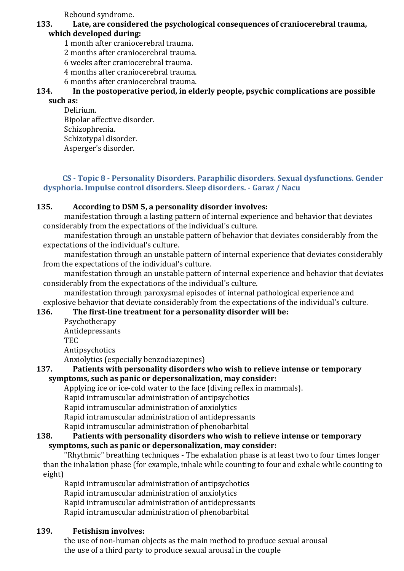Rebound syndrome.

## **133. Late, are considered the psychological consequences of craniocerebral trauma,**

## **which developed during:**

- 1 month after craniocerebral trauma.
- 2 months after craniocerebral trauma.
- 6 weeks after craniocerebral trauma.
- 4 months after craniocerebral trauma.
- 6 months after craniocerebral trauma.

## **134. In the postoperative period, in elderly people, psychic complications are possible such as:**

Delirium. Bipolar affective disorder. Schizophrenia. Schizotypal disorder. Asperger's disorder.

## <span id="page-17-0"></span>**CS - Topic 8 - Personality Disorders. Paraphilic disorders. Sexual dysfunctions. Gender dysphoria. Impulse control disorders. Sleep disorders. - Garaz / Nacu**

## **135. According to DSM 5, a personality disorder involves:**

manifestation through a lasting pattern of internal experience and behavior that deviates considerably from the expectations of the individual's culture.

manifestation through an unstable pattern of behavior that deviates considerably from the expectations of the individual's culture.

manifestation through an unstable pattern of internal experience that deviates considerably from the expectations of the individual's culture.

manifestation through an unstable pattern of internal experience and behavior that deviates considerably from the expectations of the individual's culture.

manifestation through paroxysmal episodes of internal pathological experience and explosive behavior that deviate considerably from the expectations of the individual's culture.

## **136. The first-line treatment for a personality disorder will be:**

Psychotherapy Antidepressants TEC

Antipsychotics

Anxiolytics (especially benzodiazepines)

## **137. Patients with personality disorders who wish to relieve intense or temporary symptoms, such as panic or depersonalization, may consider:**

Applying ice or ice-cold water to the face (diving reflex in mammals).

Rapid intramuscular administration of antipsychotics

Rapid intramuscular administration of anxiolytics

Rapid intramuscular administration of antidepressants

Rapid intramuscular administration of phenobarbital

## **138. Patients with personality disorders who wish to relieve intense or temporary symptoms, such as panic or depersonalization, may consider:**

"Rhythmic" breathing techniques - The exhalation phase is at least two to four times longer than the inhalation phase (for example, inhale while counting to four and exhale while counting to eight)

Rapid intramuscular administration of antipsychotics Rapid intramuscular administration of anxiolytics Rapid intramuscular administration of antidepressants Rapid intramuscular administration of phenobarbital

## **139. Fetishism involves:**

the use of non-human objects as the main method to produce sexual arousal the use of a third party to produce sexual arousal in the couple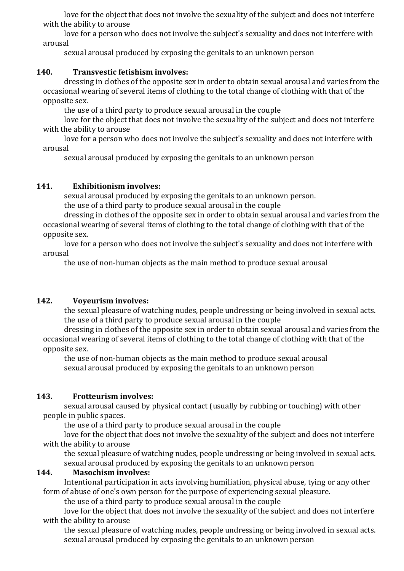love for the object that does not involve the sexuality of the subject and does not interfere with the ability to arouse

love for a person who does not involve the subject's sexuality and does not interfere with arousal

sexual arousal produced by exposing the genitals to an unknown person

#### **140. Transvestic fetishism involves:**

dressing in clothes of the opposite sex in order to obtain sexual arousal and varies from the occasional wearing of several items of clothing to the total change of clothing with that of the opposite sex.

the use of a third party to produce sexual arousal in the couple

love for the object that does not involve the sexuality of the subject and does not interfere with the ability to arouse

love for a person who does not involve the subject's sexuality and does not interfere with arousal

sexual arousal produced by exposing the genitals to an unknown person

#### **141. Exhibitionism involves:**

sexual arousal produced by exposing the genitals to an unknown person.

the use of a third party to produce sexual arousal in the couple

dressing in clothes of the opposite sex in order to obtain sexual arousal and varies from the occasional wearing of several items of clothing to the total change of clothing with that of the opposite sex.

love for a person who does not involve the subject's sexuality and does not interfere with arousal

the use of non-human objects as the main method to produce sexual arousal

#### **142. Voyeurism involves:**

the sexual pleasure of watching nudes, people undressing or being involved in sexual acts. the use of a third party to produce sexual arousal in the couple

dressing in clothes of the opposite sex in order to obtain sexual arousal and varies from the occasional wearing of several items of clothing to the total change of clothing with that of the opposite sex.

the use of non-human objects as the main method to produce sexual arousal sexual arousal produced by exposing the genitals to an unknown person

#### **143. Frotteurism involves:**

sexual arousal caused by physical contact (usually by rubbing or touching) with other people in public spaces.

the use of a third party to produce sexual arousal in the couple

love for the object that does not involve the sexuality of the subject and does not interfere with the ability to arouse

the sexual pleasure of watching nudes, people undressing or being involved in sexual acts. sexual arousal produced by exposing the genitals to an unknown person

#### **144. Masochism involves:**

Intentional participation in acts involving humiliation, physical abuse, tying or any other form of abuse of one's own person for the purpose of experiencing sexual pleasure.

the use of a third party to produce sexual arousal in the couple

love for the object that does not involve the sexuality of the subject and does not interfere with the ability to arouse

the sexual pleasure of watching nudes, people undressing or being involved in sexual acts. sexual arousal produced by exposing the genitals to an unknown person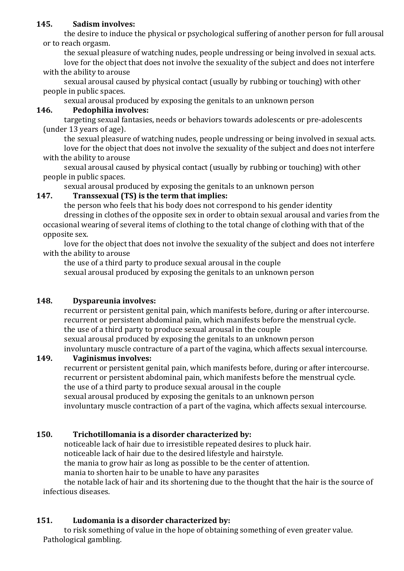## **145. Sadism involves:**

the desire to induce the physical or psychological suffering of another person for full arousal or to reach orgasm.

the sexual pleasure of watching nudes, people undressing or being involved in sexual acts. love for the object that does not involve the sexuality of the subject and does not interfere with the ability to arouse

sexual arousal caused by physical contact (usually by rubbing or touching) with other people in public spaces.

sexual arousal produced by exposing the genitals to an unknown person

### **146. Pedophilia involves:**

targeting sexual fantasies, needs or behaviors towards adolescents or pre-adolescents (under 13 years of age).

the sexual pleasure of watching nudes, people undressing or being involved in sexual acts. love for the object that does not involve the sexuality of the subject and does not interfere with the ability to arouse

sexual arousal caused by physical contact (usually by rubbing or touching) with other people in public spaces.

sexual arousal produced by exposing the genitals to an unknown person

### **147. Transsexual (TS) is the term that implies:**

the person who feels that his body does not correspond to his gender identity

dressing in clothes of the opposite sex in order to obtain sexual arousal and varies from the occasional wearing of several items of clothing to the total change of clothing with that of the opposite sex.

love for the object that does not involve the sexuality of the subject and does not interfere with the ability to arouse

the use of a third party to produce sexual arousal in the couple sexual arousal produced by exposing the genitals to an unknown person

## **148. Dyspareunia involves:**

recurrent or persistent genital pain, which manifests before, during or after intercourse. recurrent or persistent abdominal pain, which manifests before the menstrual cycle. the use of a third party to produce sexual arousal in the couple sexual arousal produced by exposing the genitals to an unknown person involuntary muscle contracture of a part of the vagina, which affects sexual intercourse.

## **149. Vaginismus involves:**

recurrent or persistent genital pain, which manifests before, during or after intercourse. recurrent or persistent abdominal pain, which manifests before the menstrual cycle. the use of a third party to produce sexual arousal in the couple sexual arousal produced by exposing the genitals to an unknown person involuntary muscle contraction of a part of the vagina, which affects sexual intercourse.

## **150. Trichotillomania is a disorder characterized by:**

noticeable lack of hair due to irresistible repeated desires to pluck hair. noticeable lack of hair due to the desired lifestyle and hairstyle. the mania to grow hair as long as possible to be the center of attention. mania to shorten hair to be unable to have any parasites

the notable lack of hair and its shortening due to the thought that the hair is the source of infectious diseases.

## **151. Ludomania is a disorder characterized by:**

to risk something of value in the hope of obtaining something of even greater value. Pathological gambling.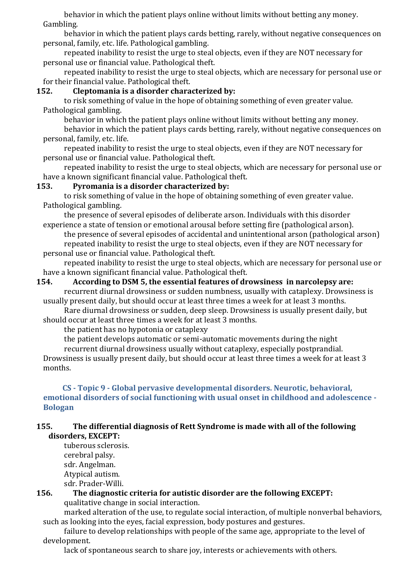behavior in which the patient plays online without limits without betting any money. Gambling.

behavior in which the patient plays cards betting, rarely, without negative consequences on personal, family, etc. life. Pathological gambling.

repeated inability to resist the urge to steal objects, even if they are NOT necessary for personal use or financial value. Pathological theft.

repeated inability to resist the urge to steal objects, which are necessary for personal use or for their financial value. Pathological theft.

#### **152. Cleptomania is a disorder characterized by:**

to risk something of value in the hope of obtaining something of even greater value. Pathological gambling.

behavior in which the patient plays online without limits without betting any money.

behavior in which the patient plays cards betting, rarely, without negative consequences on personal, family, etc. life.

repeated inability to resist the urge to steal objects, even if they are NOT necessary for personal use or financial value. Pathological theft.

repeated inability to resist the urge to steal objects, which are necessary for personal use or have a known significant financial value. Pathological theft.

#### **153. Pyromania is a disorder characterized by:**

to risk something of value in the hope of obtaining something of even greater value. Pathological gambling.

the presence of several episodes of deliberate arson. Individuals with this disorder experience a state of tension or emotional arousal before setting fire (pathological arson).

the presence of several episodes of accidental and unintentional arson (pathological arson) repeated inability to resist the urge to steal objects, even if they are NOT necessary for personal use or financial value. Pathological theft.

repeated inability to resist the urge to steal objects, which are necessary for personal use or have a known significant financial value. Pathological theft.

### **154. According to DSM 5, the essential features of drowsiness in narcolepsy are:**

recurrent diurnal drowsiness or sudden numbness, usually with cataplexy. Drowsiness is usually present daily, but should occur at least three times a week for at least 3 months.

Rare diurnal drowsiness or sudden, deep sleep. Drowsiness is usually present daily, but should occur at least three times a week for at least 3 months.

the patient has no hypotonia or cataplexy

the patient develops automatic or semi-automatic movements during the night

recurrent diurnal drowsiness usually without cataplexy, especially postprandial. Drowsiness is usually present daily, but should occur at least three times a week for at least 3 months.

#### <span id="page-20-0"></span>**CS - Topic 9 - Global pervasive developmental disorders. Neurotic, behavioral, emotional disorders of social functioning with usual onset in childhood and adolescence - Bologan**

#### **155. The differential diagnosis of Rett Syndrome is made with all of the following disorders, EXCEPT:**

tuberous sclerosis. cerebral palsy. sdr. Angelman. Atypical autism. sdr. Prader-Willi.

#### **156. The diagnostic criteria for autistic disorder are the following EXCEPT:** qualitative change in social interaction.

marked alteration of the use, to regulate social interaction, of multiple nonverbal behaviors, such as looking into the eyes, facial expression, body postures and gestures.

failure to develop relationships with people of the same age, appropriate to the level of development.

lack of spontaneous search to share joy, interests or achievements with others.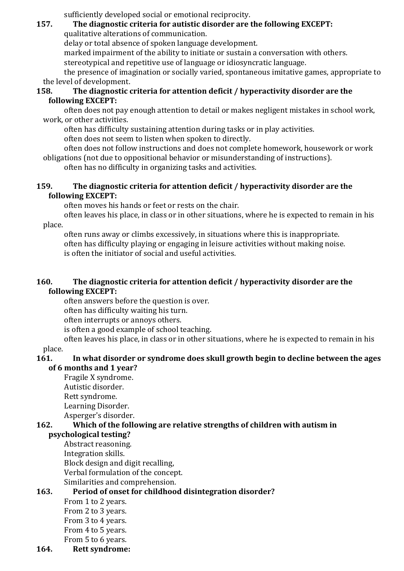sufficiently developed social or emotional reciprocity.

## **157. The diagnostic criteria for autistic disorder are the following EXCEPT:**

qualitative alterations of communication.

delay or total absence of spoken language development.

marked impairment of the ability to initiate or sustain a conversation with others.

stereotypical and repetitive use of language or idiosyncratic language.

the presence of imagination or socially varied, spontaneous imitative games, appropriate to the level of development.

## **158. The diagnostic criteria for attention deficit / hyperactivity disorder are the following EXCEPT:**

often does not pay enough attention to detail or makes negligent mistakes in school work, work, or other activities.

often has difficulty sustaining attention during tasks or in play activities.

often does not seem to listen when spoken to directly.

often does not follow instructions and does not complete homework, housework or work obligations (not due to oppositional behavior or misunderstanding of instructions).

often has no difficulty in organizing tasks and activities.

## **159. The diagnostic criteria for attention deficit / hyperactivity disorder are the following EXCEPT:**

often moves his hands or feet or rests on the chair.

often leaves his place, in class or in other situations, where he is expected to remain in his place.

often runs away or climbs excessively, in situations where this is inappropriate. often has difficulty playing or engaging in leisure activities without making noise. is often the initiator of social and useful activities.

## **160. The diagnostic criteria for attention deficit / hyperactivity disorder are the following EXCEPT:**

often answers before the question is over.

often has difficulty waiting his turn.

often interrupts or annoys others.

is often a good example of school teaching.

often leaves his place, in class or in other situations, where he is expected to remain in his place.

## **161. In what disorder or syndrome does skull growth begin to decline between the ages of 6 months and 1 year?**

Fragile X syndrome. Autistic disorder. Rett syndrome. Learning Disorder. Asperger's disorder.

## **162. Which of the following are relative strengths of children with autism in**

## **psychological testing?**

Abstract reasoning. Integration skills. Block design and digit recalling, Verbal formulation of the concept. Similarities and comprehension.

## **163. Period of onset for childhood disintegration disorder?**

From 1 to 2 years. From 2 to 3 years. From 3 to 4 years. From 4 to 5 years. From 5 to 6 years.

## **164. Rett syndrome:**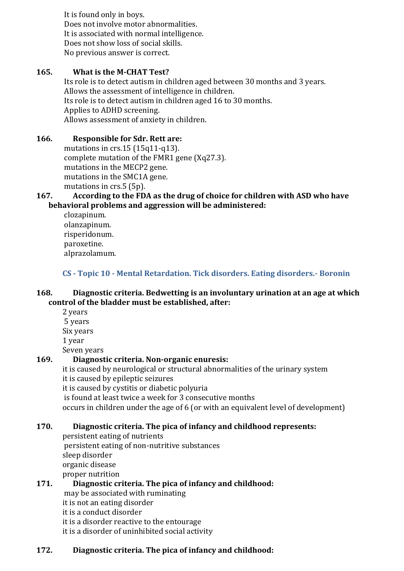It is found only in boys. Does not involve motor abnormalities. It is associated with normal intelligence. Does not show loss of social skills. No previous answer is correct.

### **165. What is the M-CHAT Test?**

Its role is to detect autism in children aged between 30 months and 3 years. Allows the assessment of intelligence in children. Its role is to detect autism in children aged 16 to 30 months. Applies to ADHD screening. Allows assessment of anxiety in children.

### **166. Responsible for Sdr. Rett are:**

mutations in crs.15 (15q11-q13). complete mutation of the FMR1 gene (Xq27.3). mutations in the MECP2 gene. mutations in the SMC1A gene. mutations in crs.5 (5p).

### **167. According to the FDA as the drug of choice for children with ASD who have behavioral problems and aggression will be administered:**

clozapinum. olanzapinum. risperidonum. paroxetine. alprazolamum.

## **CS - Topic 10 - Mental Retardation. Tick disorders. Eating disorders.- Boronin**

### <span id="page-22-0"></span>**168. Diagnostic criteria. Bedwetting is an involuntary urination at an age at which control of the bladder must be established, after:**

2 years 5 years Six years 1 year Seven years

## **169. Diagnostic criteria. Non-organic enuresis:**

it is caused by neurological or structural abnormalities of the urinary system it is caused by epileptic seizures it is caused by cystitis or diabetic polyuria is found at least twice a week for 3 consecutive months occurs in children under the age of 6 (or with an equivalent level of development)

## **170. Diagnostic criteria. The pica of infancy and childhood represents:**

persistent eating of nutrients persistent eating of non-nutritive substances sleep disorder organic disease proper nutrition

### **171. Diagnostic criteria. The pica of infancy and childhood:** may be associated with ruminating it is not an eating disorder it is a conduct disorder

it is a disorder reactive to the entourage

it is a disorder of uninhibited social activity

## **172. Diagnostic criteria. The pica of infancy and childhood:**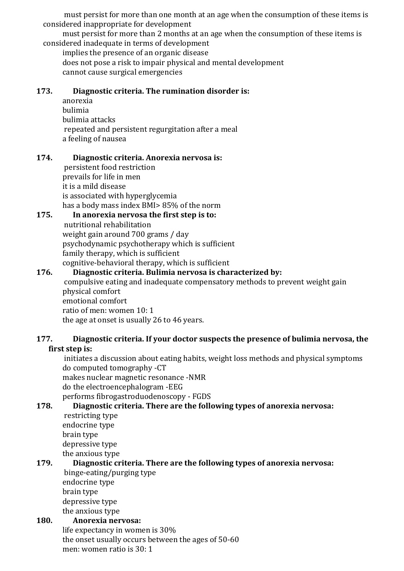must persist for more than one month at an age when the consumption of these items is considered inappropriate for development

must persist for more than 2 months at an age when the consumption of these items is considered inadequate in terms of development

implies the presence of an organic disease does not pose a risk to impair physical and mental development cannot cause surgical emergencies

### **173. Diagnostic criteria. The rumination disorder is:**

anorexia bulimia bulimia attacks repeated and persistent regurgitation after a meal a feeling of nausea

#### **174. Diagnostic criteria. Anorexia nervosa is:**

persistent food restriction prevails for life in men it is a mild disease is associated with hyperglycemia has a body mass index BMI> 85% of the norm

### **175. In anorexia nervosa the first step is to:**

nutritional rehabilitation weight gain around 700 grams / day psychodynamic psychotherapy which is sufficient family therapy, which is sufficient cognitive-behavioral therapy, which is sufficient

### **176. Diagnostic criteria. Bulimia nervosa is characterized by:** compulsive eating and inadequate compensatory methods to prevent weight gain physical comfort emotional comfort ratio of men: women 10: 1 the age at onset is usually 26 to 46 years.

### **177. Diagnostic criteria. If your doctor suspects the presence of bulimia nervosa, the first step is:**

initiates a discussion about eating habits, weight loss methods and physical symptoms do computed tomography -CT makes nuclear magnetic resonance -NMR do the electroencephalogram -EEG performs fibrogastroduodenoscopy - FGDS

## **178. Diagnostic criteria. There are the following types of anorexia nervosa:**

restricting type endocrine type brain type depressive type the anxious type

#### **179. Diagnostic criteria. There are the following types of anorexia nervosa:** binge-eating/purging type

endocrine type brain type depressive type the anxious type

## **180. Anorexia nervosa:**

life expectancy in women is 30% the onset usually occurs between the ages of 50-60 men: women ratio is 30: 1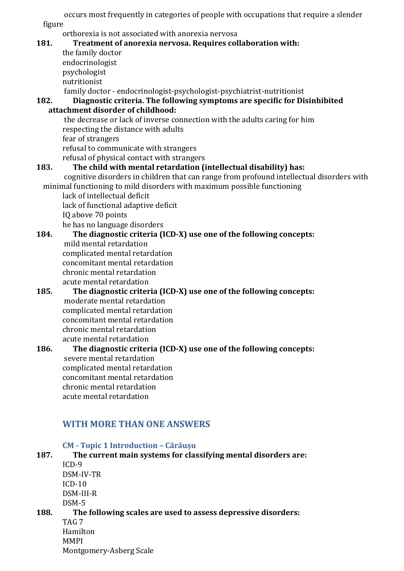occurs most frequently in categories of people with occupations that require a slender figure

orthorexia is not associated with anorexia nervosa

## **181. Treatment of anorexia nervosa. Requires collaboration with:**

the family doctor endocrinologist psychologist nutritionist family doctor - endocrinologist-psychologist-psychiatrist-nutritionist

## **182. Diagnostic criteria. The following symptoms are specific for Disinhibited attachment disorder of childhood:**

the decrease or lack of inverse connection with the adults caring for him respecting the distance with adults fear of strangers refusal to communicate with strangers refusal of physical contact with strangers

## **183. The child with mental retardation (intellectual disability) has:**

cognitive disorders in children that can range from profound intellectual disorders with minimal functioning to mild disorders with maximum possible functioning

lack of intellectual deficit lack of functional adaptive deficit IQ above 70 points he has no language disorders

## **184. The diagnostic criteria (ICD-X) use one of the following concepts:**

mild mental retardation complicated mental retardation concomitant mental retardation chronic mental retardation acute mental retardation

#### **185. The diagnostic criteria (ICD-X) use one of the following concepts:** moderate mental retardation complicated mental retardation concomitant mental retardation chronic mental retardation acute mental retardation

## **186. The diagnostic criteria (ICD-X) use one of the following concepts:** severe mental retardation complicated mental retardation concomitant mental retardation chronic mental retardation acute mental retardation

## <span id="page-24-0"></span>**WITH MORE THAN ONE ANSWERS**

## **CM - Topic 1 Introduction – Cărăușu**

<span id="page-24-1"></span>**187. The current main systems for classifying mental disorders are:**  $ICD-9$ DSM-IV-TR ICD-10 DSM-III-R DSM-5 **188. The following scales are used to assess depressive disorders:** TAG 7 Hamilton MMPI Montgomery-Asberg Scale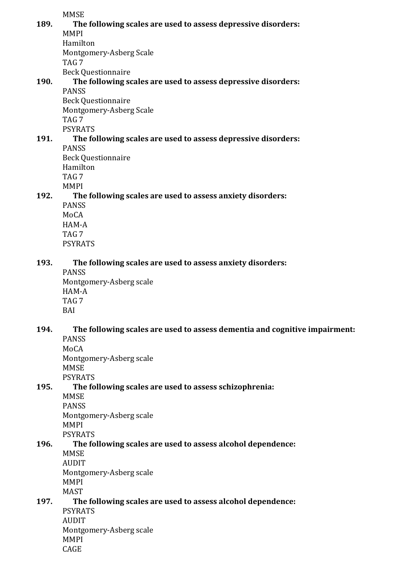**MMSE** 

**189. The following scales are used to assess depressive disorders:** MMPI Hamilton Montgomery-Asberg Scale TAG 7 Beck Questionnaire **190. The following scales are used to assess depressive disorders:** PANSS Beck Questionnaire Montgomery-Asberg Scale TAG 7 PSYRATS **191. The following scales are used to assess depressive disorders:** PANSS Beck Questionnaire Hamilton TAG 7 MMPI **192. The following scales are used to assess anxiety disorders:** PANSS MoCA HAM-A TAG 7 PSYRATS **193. The following scales are used to assess anxiety disorders:** PANSS Montgomery-Asberg scale HAM-A TAG 7 BAI **194. The following scales are used to assess dementia and cognitive impairment:** PANSS MoCA Montgomery-Asberg scale **MMSE** PSYRATS **195. The following scales are used to assess schizophrenia: MMSE** PANSS Montgomery-Asberg scale MMPI PSYRATS **196. The following scales are used to assess alcohol dependence: MMSE** AUDIT Montgomery-Asberg scale MMPI MAST **197. The following scales are used to assess alcohol dependence:** PSYRATS AUDIT Montgomery-Asberg scale MMPI CAGE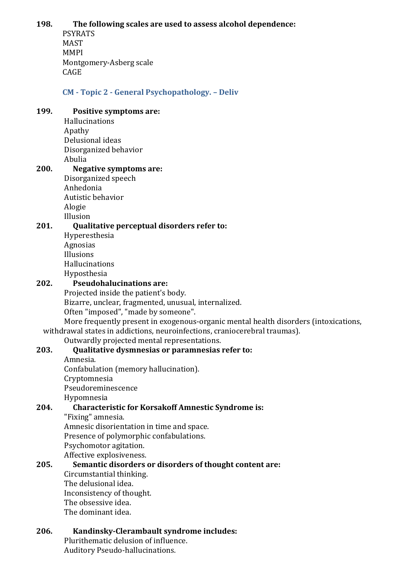#### **198. The following scales are used to assess alcohol dependence:**

PSYRATS MAST MMPI Montgomery-Asberg scale CAGE

**CM - Topic 2 - General Psychopathology. – Deliv**

#### <span id="page-26-0"></span>**199. Positive symptoms are:**

Hallucinations Apathy Delusional ideas Disorganized behavior Abulia

#### **200. Negative symptoms are:**

Disorganized speech Anhedonia Autistic behavior Alogie Illusion

**201. Qualitative perceptual disorders refer to:** Hyperesthesia

Agnosias Illusions Hallucinations Hyposthesia

#### **202. Pseudohalucinations are:**

Projected inside the patient's body. Bizarre, unclear, fragmented, unusual, internalized. Often "imposed", "made by someone". More frequently present in exogenous-organic mental health disorders (intoxications,

withdrawal states in addictions, neuroinfections, craniocerebral traumas).

Outwardly projected mental representations.

## **203. Qualitative dysmnesias or paramnesias refer to:**

Amnesia. Confabulation (memory hallucination). Cryptomnesia Pseudoreminescence Hypomnesia

## **204. Characteristic for Korsakoff Amnestic Syndrome is:**

"Fixing" amnesia.

Amnesic disorientation in time and space. Presence of polymorphic confabulations. Psychomotor agitation. Affective explosiveness.

#### **205. Semantic disorders or disorders of thought content are:** Circumstantial thinking.

The delusional idea. Inconsistency of thought. The obsessive idea. The dominant idea.

#### **206. Kandinsky-Clerambault syndrome includes:**

Plurithematic delusion of influence. Auditory Pseudo-hallucinations.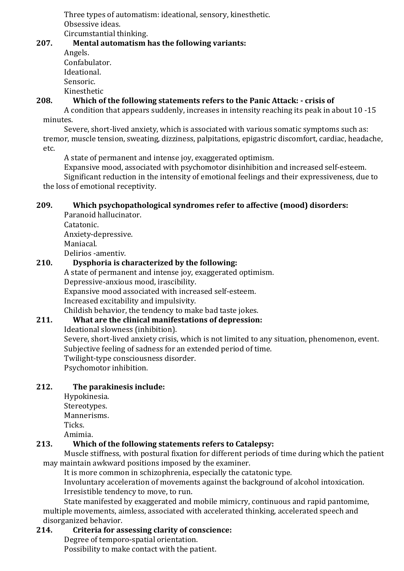Three types of automatism: ideational, sensory, kinesthetic. Obsessive ideas.

Circumstantial thinking. **207. Mental automatism has the following variants:**

Angels. Confabulator. Ideational. Sensoric. Kinesthetic

## **208. Which of the following statements refers to the Panic Attack: - crisis of**

A condition that appears suddenly, increases in intensity reaching its peak in about 10 -15 minutes.

Severe, short-lived anxiety, which is associated with various somatic symptoms such as: tremor, muscle tension, sweating, dizziness, palpitations, epigastric discomfort, cardiac, headache, etc.

A state of permanent and intense joy, exaggerated optimism.

Expansive mood, associated with psychomotor disinhibition and increased self-esteem. Significant reduction in the intensity of emotional feelings and their expressiveness, due to

the loss of emotional receptivity.

## **209. Which psychopathological syndromes refer to affective (mood) disorders:**

Paranoid hallucinator. Catatonic. Anxiety-depressive. Maniacal. Delirios -amentiv.

## **210. Dysphoria is characterized by the following:**

A state of permanent and intense joy, exaggerated optimism. Depressive-anxious mood, irascibility. Expansive mood associated with increased self-esteem. Increased excitability and impulsivity.

Childish behavior, the tendency to make bad taste jokes.

## **211. What are the clinical manifestations of depression:**

## Ideational slowness (inhibition).

Severe, short-lived anxiety crisis, which is not limited to any situation, phenomenon, event. Subjective feeling of sadness for an extended period of time.

Twilight-type consciousness disorder.

Psychomotor inhibition.

## **212. The parakinesis include:**

Hypokinesia. Stereotypes. Mannerisms. Ticks. Amimia.

## **213. Which of the following statements refers to Catalepsy:**

Muscle stiffness, with postural fixation for different periods of time during which the patient may maintain awkward positions imposed by the examiner.

It is more common in schizophrenia, especially the catatonic type.

Involuntary acceleration of movements against the background of alcohol intoxication. Irresistible tendency to move, to run.

State manifested by exaggerated and mobile mimicry, continuous and rapid pantomime, multiple movements, aimless, associated with accelerated thinking, accelerated speech and disorganized behavior.

## **214. Criteria for assessing clarity of conscience:**

Degree of temporo-spatial orientation.

Possibility to make contact with the patient.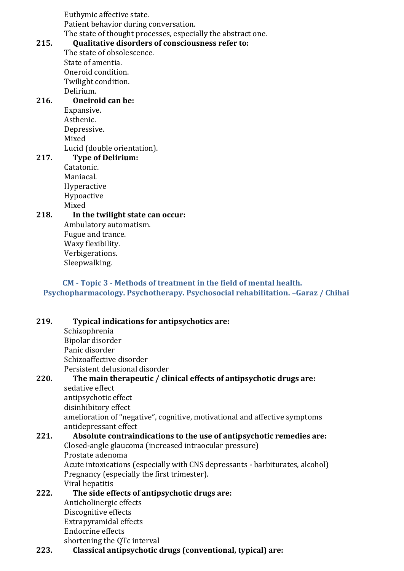Euthymic affective state. Patient behavior during conversation. The state of thought processes, especially the abstract one.

#### **215. Qualitative disorders of consciousness refer to:**

The state of obsolescence. State of amentia. Oneroid condition. Twilight condition. Delirium.

## **216. Oneiroid can be:**

Expansive. Asthenic. Depressive. Mixed Lucid (double orientation).

**217. Type of Delirium:** Catatonic. Maniacal. Hyperactive Hypoactive Mixed

## **218. In the twilight state can occur:**

Ambulatory automatism. Fugue and trance. Waxy flexibility. Verbigerations. Sleepwalking.

### <span id="page-28-0"></span>**CM - Topic 3 - Methods of treatment in the field of mental health. Psychopharmacology. Psychotherapy. Psychosocial rehabilitation. –Garaz / Chihai**

## **219. Typical indications for antipsychotics are:**

Schizophrenia Bipolar disorder Panic disorder Schizoaffective disorder Persistent delusional disorder **220. The main therapeutic / clinical effects of antipsychotic drugs are:** sedative effect antipsychotic effect disinhibitory effect amelioration of "negative", cognitive, motivational and affective symptoms antidepressant effect **221. Absolute contraindications to the use of antipsychotic remedies are:** Closed-angle glaucoma (increased intraocular pressure) Prostate adenoma Acute intoxications (especially with CNS depressants - barbiturates, alcohol) Pregnancy (especially the first trimester). Viral hepatitis **222. The side effects of antipsychotic drugs are:** Anticholinergic effects Discognitive effects Extrapyramidal effects Endocrine effects shortening the QTc interval

## **223. Classical antipsychotic drugs (conventional, typical) are:**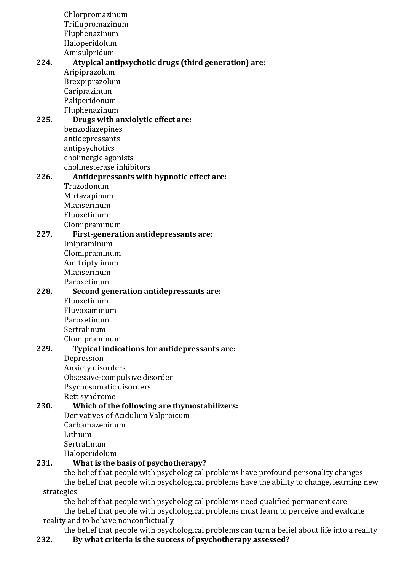Chlorpromazinum Triflupromazinum Fluphenazinum Haloperidolum Amisulpridum **224. Atypical antipsychotic drugs (third generation) are:** Aripiprazolum Brexpiprazolum Cariprazinum Paliperidonum Fluphenazinum **225. Drugs with anxiolytic effect are:** benzodiazepines antidepressants antipsychotics cholinergic agonists cholinesterase inhibitors **226. Antidepressants with hypnotic effect are:** Trazodonum Mirtazapinum Mianserinum Fluoxetinum Clomipraminum **227. First-generation antidepressants are:** Imipraminum Clomipraminum Amitriptylinum Mianserinum Paroxetinum **228. Second generation antidepressants are:** Fluoxetinum Fluvoxaminum Paroxetinum Sertralinum Clomipraminum **229. Typical indications for antidepressants are:** Depression Anxiety disorders Obsessive-compulsive disorder Psychosomatic disorders Rett syndrome **230. Which of the following are thymostabilizers:** Derivatives of Acidulum Valproicum Carbamazepinum Lithium Sertralinum Haloperidolum **231. What is the basis of psychotherapy?** the belief that people with psychological problems have profound personality changes the belief that people with psychological problems have the ability to change, learning new strategies the belief that people with psychological problems need qualified permanent care the belief that people with psychological problems must learn to perceive and evaluate reality and to behave nonconflictually the belief that people with psychological problems can turn a belief about life into a reality **232. By what criteria is the success of psychotherapy assessed?**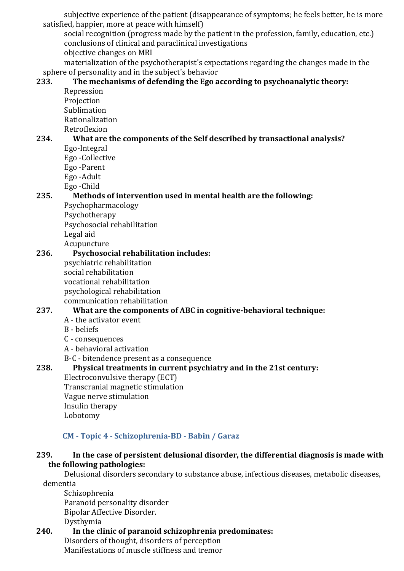subjective experience of the patient (disappearance of symptoms; he feels better, he is more satisfied, happier, more at peace with himself)

social recognition (progress made by the patient in the profession, family, education, etc.) conclusions of clinical and paraclinical investigations

objective changes on MRI

materialization of the psychotherapist's expectations regarding the changes made in the sphere of personality and in the subject's behavior

#### **233. The mechanisms of defending the Ego according to psychoanalytic theory:** Repression

Projection Sublimation Rationalization Retroflexion

## **234. What are the components of the Self described by transactional analysis?**

Ego-Integral Ego -Collective Ego -Parent Ego -Adult Ego -Child

## **235. Methods of intervention used in mental health are the following:**

Psychopharmacology Psychotherapy Psychosocial rehabilitation Legal aid Acupuncture

#### **236. Psychosocial rehabilitation includes:** psychiatric rehabilitation social rehabilitation

vocational rehabilitation

psychological rehabilitation

communication rehabilitation

## **237. What are the components of ABC in cognitive-behavioral technique:**

#### A - the activator event

- B beliefs
- C consequences
- A behavioral activation
- B-C bitendence present as a consequence

## **238. Physical treatments in current psychiatry and in the 21st century:**

Electroconvulsive therapy (ECT)

Transcranial magnetic stimulation Vague nerve stimulation

Insulin therapy

Lobotomy

## **CM - Topic 4 - Schizophrenia-BD - Babin / Garaz**

## <span id="page-30-0"></span>**239. In the case of persistent delusional disorder, the differential diagnosis is made with the following pathologies:**

Delusional disorders secondary to substance abuse, infectious diseases, metabolic diseases,

dementia

Schizophrenia Paranoid personality disorder Bipolar Affective Disorder.

Dysthymia

## **240. In the clinic of paranoid schizophrenia predominates:**

Disorders of thought, disorders of perception Manifestations of muscle stiffness and tremor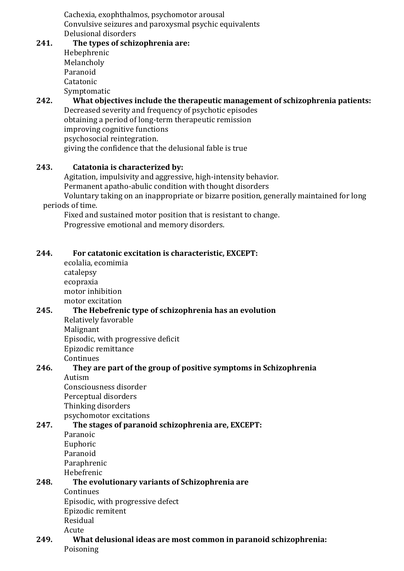Cachexia, exophthalmos, psychomotor arousal Convulsive seizures and paroxysmal psychic equivalents Delusional disorders

**241. The types of schizophrenia are:** Hebephrenic Melancholy Paranoid Catatonic Symptomatic

#### **242. What objectives include the therapeutic management of schizophrenia patients:** Decreased severity and frequency of psychotic episodes

obtaining a period of long-term therapeutic remission improving cognitive functions psychosocial reintegration. giving the confidence that the delusional fable is true

## **243. Catatonia is characterized by:**

Agitation, impulsivity and aggressive, high-intensity behavior. Permanent apatho-abulic condition with thought disorders

Voluntary taking on an inappropriate or bizarre position, generally maintained for long periods of time.

Fixed and sustained motor position that is resistant to change. Progressive emotional and memory disorders.

## **244. For catatonic excitation is characteristic, EXCEPT:**

ecolalia, ecomimia catalepsy ecopraxia motor inhibition motor excitation

## **245. The Hebefrenic type of schizophrenia has an evolution**

Relatively favorable Malignant Episodic, with progressive deficit Epizodic remittance **Continues** 

## **246. They are part of the group of positive symptoms in Schizophrenia** Autism

Consciousness disorder Perceptual disorders Thinking disorders psychomotor excitations

## **247. The stages of paranoid schizophrenia are, EXCEPT:**

Paranoic Euphoric Paranoid Paraphrenic Hebefrenic

#### **248. The evolutionary variants of Schizophrenia are** Continues

Episodic, with progressive defect Epizodic remitent Residual Acute

**249. What delusional ideas are most common in paranoid schizophrenia:** Poisoning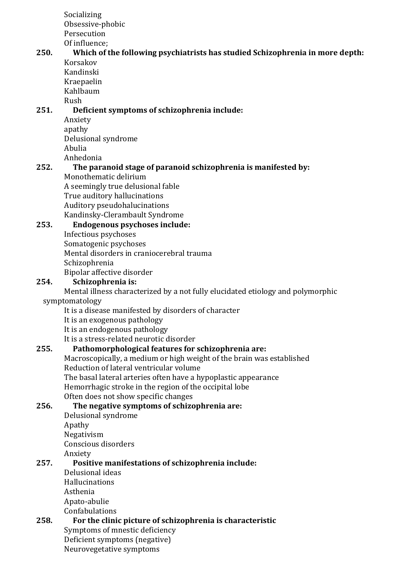Socializing Obsessive-phobic Persecution Of influence;

#### **250. Which of the following psychiatrists has studied Schizophrenia in more depth:** Korsakov

Kandinski Kraepaelin Kahlbaum Rush

## **251. Deficient symptoms of schizophrenia include:**

Anxiety apathy Delusional syndrome Abulia Anhedonia

## **252. The paranoid stage of paranoid schizophrenia is manifested by:**

Monothematic delirium A seemingly true delusional fable True auditory hallucinations Auditory pseudohalucinations Kandinsky-Clerambault Syndrome

**253. Endogenous psychoses include:** Infectious psychoses Somatogenic psychoses Mental disorders in craniocerebral trauma Schizophrenia

Bipolar affective disorder

## **254. Schizophrenia is:**

Mental illness characterized by a not fully elucidated etiology and polymorphic symptomatology

It is a disease manifested by disorders of character

- It is an exogenous pathology
- It is an endogenous pathology

It is a stress-related neurotic disorder

#### **255. Pathomorphological features for schizophrenia are:**

Macroscopically, a medium or high weight of the brain was established Reduction of lateral ventricular volume

The basal lateral arteries often have a hypoplastic appearance

Hemorrhagic stroke in the region of the occipital lobe

Often does not show specific changes

#### **256. The negative symptoms of schizophrenia are:** Delusional syndrome

Apathy Negativism Conscious disorders Anxiety

## **257. Positive manifestations of schizophrenia include:**

Delusional ideas Hallucinations Asthenia Apato-abulie Confabulations

## **258. For the clinic picture of schizophrenia is characteristic**

Symptoms of mnestic deficiency Deficient symptoms (negative) Neurovegetative symptoms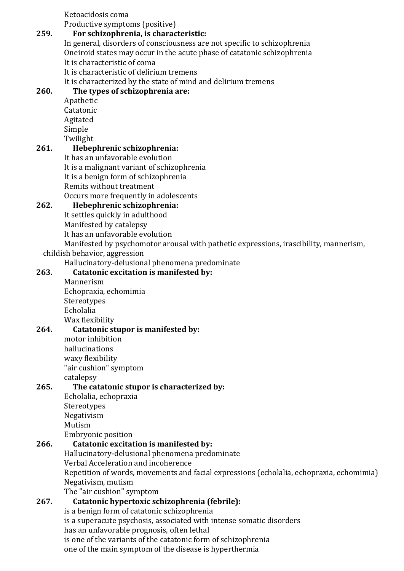Ketoacidosis coma

Productive symptoms (positive) **259. For schizophrenia, is characteristic:**

In general, disorders of consciousness are not specific to schizophrenia Oneiroid states may occur in the acute phase of catatonic schizophrenia It is characteristic of coma

It is characteristic of delirium tremens

It is characterized by the state of mind and delirium tremens

## **260. The types of schizophrenia are:**

Apathetic Catatonic Agitated Simple Twilight

## **261. Hebephrenic schizophrenia:**

It has an unfavorable evolution It is a malignant variant of schizophrenia It is a benign form of schizophrenia Remits without treatment Occurs more frequently in adolescents

## **262. Hebephrenic schizophrenia:**

It settles quickly in adulthood

Manifested by catalepsy

It has an unfavorable evolution

Manifested by psychomotor arousal with pathetic expressions, irascibility, mannerism, childish behavior, aggression

Hallucinatory-delusional phenomena predominate

## **263. Catatonic excitation is manifested by:**

Mannerism

Echopraxia, echomimia

**Stereotypes** Echolalia

Wax flexibility

## **264. Catatonic stupor is manifested by:**

motor inhibition hallucinations waxy flexibility "air cushion" symptom catalepsy

## **265. The catatonic stupor is characterized by:**

Echolalia, echopraxia Stereotypes Negativism Mutism Embryonic position

## **266. Catatonic excitation is manifested by:**

Hallucinatory-delusional phenomena predominate Verbal Acceleration and incoherence Repetition of words, movements and facial expressions (echolalia, echopraxia, echomimia) Negativism, mutism

The "air cushion" symptom

## **267. Catatonic hypertoxic schizophrenia (febrile):**

is a benign form of catatonic schizophrenia is a superacute psychosis, associated with intense somatic disorders has an unfavorable prognosis, often lethal is one of the variants of the catatonic form of schizophrenia one of the main symptom of the disease is hyperthermia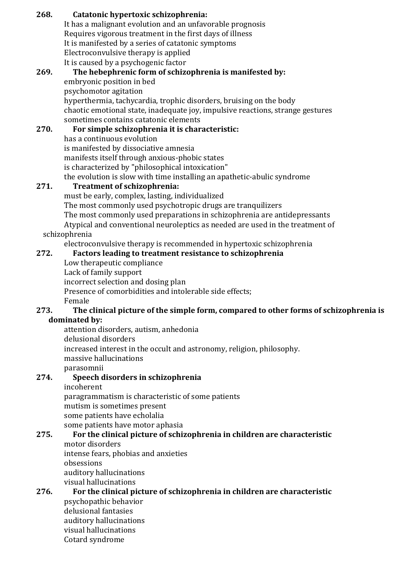**268. Catatonic hypertoxic schizophrenia:** It has a malignant evolution and an unfavorable prognosis Requires vigorous treatment in the first days of illness It is manifested by a series of catatonic symptoms Electroconvulsive therapy is applied It is caused by a psychogenic factor **269. The hebephrenic form of schizophrenia is manifested by:** embryonic position in bed psychomotor agitation hyperthermia, tachycardia, trophic disorders, bruising on the body chaotic emotional state, inadequate joy, impulsive reactions, strange gestures sometimes contains catatonic elements **270. For simple schizophrenia it is characteristic:** has a continuous evolution is manifested by dissociative amnesia manifests itself through anxious-phobic states is characterized by "philosophical intoxication" the evolution is slow with time installing an apathetic-abulic syndrome **271. Treatment of schizophrenia:** must be early, complex, lasting, individualized The most commonly used psychotropic drugs are tranquilizers The most commonly used preparations in schizophrenia are antidepressants Atypical and conventional neuroleptics as needed are used in the treatment of schizophrenia electroconvulsive therapy is recommended in hypertoxic schizophrenia **272. Factors leading to treatment resistance to schizophrenia** Low therapeutic compliance Lack of family support incorrect selection and dosing plan Presence of comorbidities and intolerable side effects; Female **273. The clinical picture of the simple form, compared to other forms of schizophrenia is dominated by:** attention disorders, autism, anhedonia delusional disorders increased interest in the occult and astronomy, religion, philosophy. massive hallucinations parasomnii **274. Speech disorders in schizophrenia** incoherent paragrammatism is characteristic of some patients mutism is sometimes present some patients have echolalia some patients have motor aphasia **275. For the clinical picture of schizophrenia in children are characteristic** motor disorders intense fears, phobias and anxieties obsessions auditory hallucinations visual hallucinations **276. For the clinical picture of schizophrenia in children are characteristic** psychopathic behavior delusional fantasies

auditory hallucinations visual hallucinations Cotard syndrome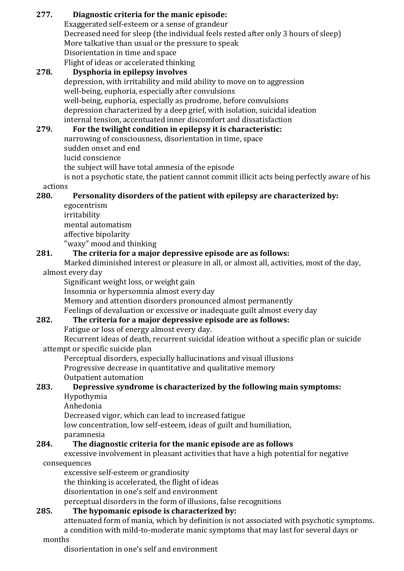### **277. Diagnostic criteria for the manic episode:**

Exaggerated self-esteem or a sense of grandeur Decreased need for sleep (the individual feels rested after only 3 hours of sleep) More talkative than usual or the pressure to speak Disorientation in time and space Flight of ideas or accelerated thinking

## **278. Dysphoria in epilepsy involves**

depression, with irritability and mild ability to move on to aggression well-being, euphoria, especially after convulsions well-being, euphoria, especially as prodrome, before convulsions depression characterized by a deep grief, with isolation, suicidal ideation internal tension, accentuated inner discomfort and dissatisfaction

**279. For the twilight condition in epilepsy it is characteristic:**

narrowing of consciousness, disorientation in time, space

sudden onset and end

lucid conscience

the subject will have total amnesia of the episode

is not a psychotic state, the patient cannot commit illicit acts being perfectly aware of his actions

## **280. Personality disorders of the patient with epilepsy are characterized by:**

egocentrism irritability mental automatism affective bipolarity "waxy" mood and thinking

## **281. The criteria for a major depressive episode are as follows:**

Marked diminished interest or pleasure in all, or almost all, activities, most of the day,

## almost every day

Significant weight loss, or weight gain

Insomnia or hypersomnia almost every day

Memory and attention disorders pronounced almost permanently

Feelings of devaluation or excessive or inadequate guilt almost every day

## **282. The criteria for a major depressive episode are as follows:**

Fatigue or loss of energy almost every day.

Recurrent ideas of death, recurrent suicidal ideation without a specific plan or suicide attempt or specific suicide plan

Perceptual disorders, especially hallucinations and visual illusions Progressive decrease in quantitative and qualitative memory Outpatient automation

#### **283. Depressive syndrome is characterized by the following main symptoms:** Hypothymia

Anhedonia

Decreased vigor, which can lead to increased fatigue

low concentration, low self-esteem, ideas of guilt and humiliation,

paramnesia

## **284. The diagnostic criteria for the manic episode are as follows**

excessive involvement in pleasant activities that have a high potential for negative consequences

excessive self-esteem or grandiosity

the thinking is accelerated, the flight of ideas

disorientation in one's self and environment

perceptual disorders in the form of illusions, false recognitions

## **285. The hypomanic episode is characterized by:**

attenuated form of mania, which by definition is not associated with psychotic symptoms. a condition with mild-to-moderate manic symptoms that may last for several days or

months

disorientation in one's self and environment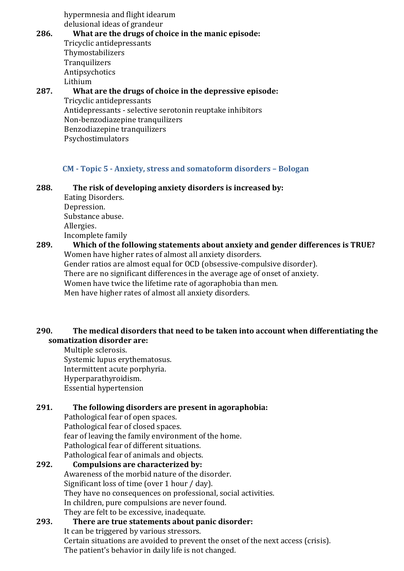hypermnesia and flight idearum delusional ideas of grandeur

**286. What are the drugs of choice in the manic episode:** Tricyclic antidepressants Thymostabilizers **Tranquilizers Antipsychotics** Lithium **287. What are the drugs of choice in the depressive episode:** Tricyclic antidepressants Antidepressants - selective serotonin reuptake inhibitors Non-benzodiazepine tranquilizers Benzodiazepine tranquilizers

Psychostimulators

#### **CM - Topic 5 - Anxiety, stress and somatoform disorders – Bologan**

<span id="page-36-0"></span>**288. The risk of developing anxiety disorders is increased by:** Eating Disorders.

Depression. Substance abuse. Allergies. Incomplete family

**289. Which of the following statements about anxiety and gender differences is TRUE?** Women have higher rates of almost all anxiety disorders. Gender ratios are almost equal for OCD (obsessive-compulsive disorder). There are no significant differences in the average age of onset of anxiety. Women have twice the lifetime rate of agoraphobia than men. Men have higher rates of almost all anxiety disorders.

### **290. The medical disorders that need to be taken into account when differentiating the somatization disorder are:**

Multiple sclerosis. Systemic lupus erythematosus. Intermittent acute porphyria. Hyperparathyroidism. Essential hypertension

#### **291. The following disorders are present in agoraphobia:**

Pathological fear of open spaces. Pathological fear of closed spaces. fear of leaving the family environment of the home. Pathological fear of different situations. Pathological fear of animals and objects.

**292. Compulsions are characterized by:** Awareness of the morbid nature of the disorder. Significant loss of time (over 1 hour / day). They have no consequences on professional, social activities. In children, pure compulsions are never found. They are felt to be excessive, inadequate.

#### **293. There are true statements about panic disorder:** It can be triggered by various stressors. Certain situations are avoided to prevent the onset of the next access (crisis). The patient's behavior in daily life is not changed.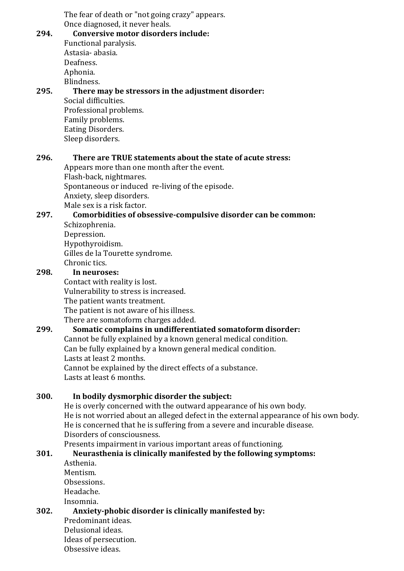The fear of death or "not going crazy" appears. Once diagnosed, it never heals.

- **294. Conversive motor disorders include:** Functional paralysis. Astasia- abasia. Deafness. Aphonia. Blindness. **295. There may be stressors in the adjustment disorder:**
- Social difficulties. Professional problems. Family problems. Eating Disorders. Sleep disorders.

#### **296. There are TRUE statements about the state of acute stress:**

Appears more than one month after the event. Flash-back, nightmares. Spontaneous or induced re-living of the episode. Anxiety, sleep disorders. Male sex is a risk factor.

## **297. Comorbidities of obsessive-compulsive disorder can be common:**

Schizophrenia. Depression. Hypothyroidism. Gilles de la Tourette syndrome. Chronic tics.

#### **298. In neuroses:**

Contact with reality is lost. Vulnerability to stress is increased. The patient wants treatment. The patient is not aware of his illness. There are somatoform charges added.

#### **299. Somatic complains in undifferentiated somatoform disorder:**

Cannot be fully explained by a known general medical condition. Can be fully explained by a known general medical condition. Lasts at least 2 months. Cannot be explained by the direct effects of a substance. Lasts at least 6 months.

#### **300. In bodily dysmorphic disorder the subject:**

He is overly concerned with the outward appearance of his own body. He is not worried about an alleged defect in the external appearance of his own body. He is concerned that he is suffering from a severe and incurable disease. Disorders of consciousness.

Presents impairment in various important areas of functioning.

#### **301. Neurasthenia is clinically manifested by the following symptoms:**

Asthenia. Mentism. Obsessions. Headache. Insomnia.

**302. Anxiety-phobic disorder is clinically manifested by:** Predominant ideas. Delusional ideas. Ideas of persecution. Obsessive ideas.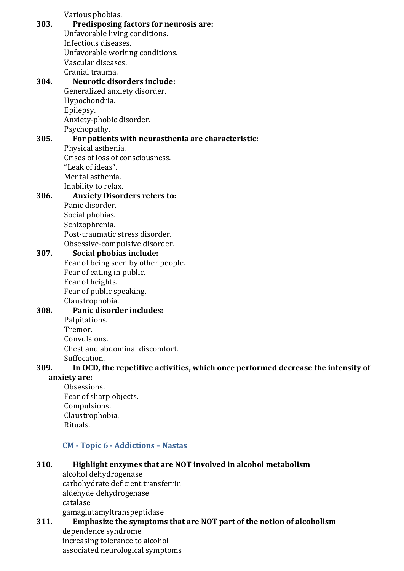Various phobias.

**303. Predisposing factors for neurosis are:** Unfavorable living conditions. Infectious diseases. Unfavorable working conditions. Vascular diseases. Cranial trauma. **304. Neurotic disorders include:** Generalized anxiety disorder. Hypochondria. Epilepsy. Anxiety-phobic disorder. Psychopathy. **305. For patients with neurasthenia are characteristic:** Physical asthenia. Crises of loss of consciousness. "Leak of ideas". Mental asthenia. Inability to relax. **306. Anxiety Disorders refers to:** Panic disorder. Social phobias. Schizophrenia. Post-traumatic stress disorder. Obsessive-compulsive disorder. **307. Social phobias include:** Fear of being seen by other people. Fear of eating in public. Fear of heights. Fear of public speaking. Claustrophobia. **308. Panic disorder includes:** Palpitations. Tremor. Convulsions. Chest and abdominal discomfort. Suffocation. **309. In OCD, the repetitive activities, which once performed decrease the intensity of anxiety are:** Obsessions. Fear of sharp objects. Compulsions. Claustrophobia. Rituals.

#### **CM - Topic 6 - Addictions – Nastas**

#### <span id="page-38-0"></span>**310. Highlight enzymes that are NOT involved in alcohol metabolism**

alcohol dehydrogenase carbohydrate deficient transferrin aldehyde dehydrogenase catalase gamaglutamyltranspeptidase

**311. Emphasize the symptoms that are NOT part of the notion of alcoholism** dependence syndrome increasing tolerance to alcohol associated neurological symptoms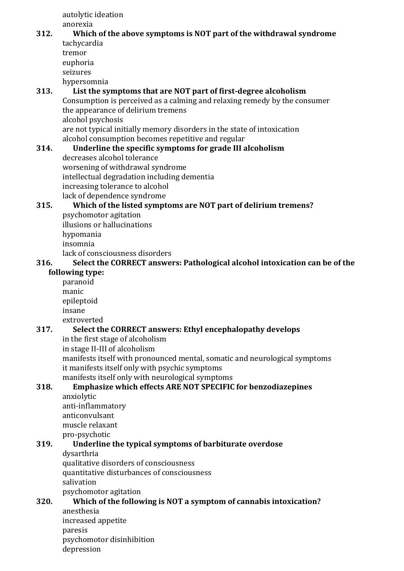autolytic ideation anorexia

**312. Which of the above symptoms is NOT part of the withdrawal syndrome** tachycardia

tremor euphoria seizures hypersomnia

## **313. List the symptoms that are NOT part of first-degree alcoholism**

Consumption is perceived as a calming and relaxing remedy by the consumer the appearance of delirium tremens alcohol psychosis are not typical initially memory disorders in the state of intoxication

alcohol consumption becomes repetitive and regular

## **314. Underline the specific symptoms for grade III alcoholism**

decreases alcohol tolerance worsening of withdrawal syndrome intellectual degradation including dementia increasing tolerance to alcohol lack of dependence syndrome

#### **315. Which of the listed symptoms are NOT part of delirium tremens?** psychomotor agitation

illusions or hallucinations hypomania insomnia lack of consciousness disorders

## **316. Select the CORRECT answers: Pathological alcohol intoxication can be of the**

## **following type:**

paranoid manic epileptoid insane extroverted

## **317. Select the CORRECT answers: Ethyl encephalopathy develops**

in the first stage of alcoholism

in stage II-III of alcoholism

manifests itself with pronounced mental, somatic and neurological symptoms it manifests itself only with psychic symptoms

manifests itself only with neurological symptoms

#### **318. Emphasize which effects ARE NOT SPECIFIC for benzodiazepines** anxiolytic

anti-inflammatory anticonvulsant muscle relaxant pro-psychotic

## **319. Underline the typical symptoms of barbiturate overdose**

dysarthria

qualitative disorders of consciousness quantitative disturbances of consciousness salivation

psychomotor agitation

## **320. Which of the following is NOT a symptom of cannabis intoxication?**

anesthesia increased appetite paresis psychomotor disinhibition depression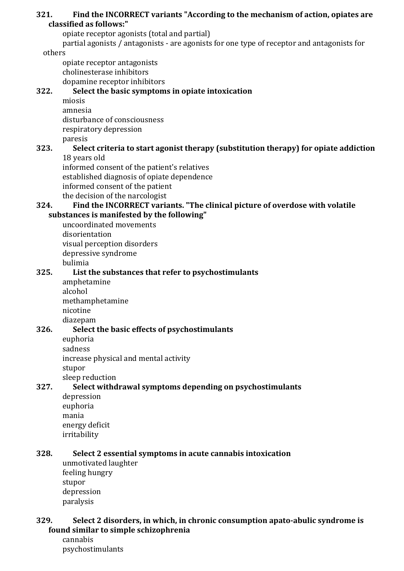#### **321. Find the INCORRECT variants "According to the mechanism of action, opiates are classified as follows:"**

opiate receptor agonists (total and partial)

partial agonists / antagonists - are agonists for one type of receptor and antagonists for others

opiate receptor antagonists cholinesterase inhibitors dopamine receptor inhibitors

## **322. Select the basic symptoms in opiate intoxication**

miosis amnesia disturbance of consciousness respiratory depression paresis

## **323. Select criteria to start agonist therapy (substitution therapy) for opiate addiction** 18 years old

informed consent of the patient's relatives established diagnosis of opiate dependence informed consent of the patient the decision of the narcologist

### **324. Find the INCORRECT variants. "The clinical picture of overdose with volatile substances is manifested by the following"**

uncoordinated movements disorientation visual perception disorders depressive syndrome bulimia

#### **325. List the substances that refer to psychostimulants** amphetamine

alcohol methamphetamine nicotine diazepam

## **326. Select the basic effects of psychostimulants**

euphoria sadness increase physical and mental activity stupor

sleep reduction

## **327. Select withdrawal symptoms depending on psychostimulants**

depression euphoria mania energy deficit irritability

## **328. Select 2 essential symptoms in acute cannabis intoxication**

unmotivated laughter feeling hungry stupor depression paralysis

## **329. Select 2 disorders, in which, in chronic consumption apato-abulic syndrome is found similar to simple schizophrenia**

cannabis psychostimulants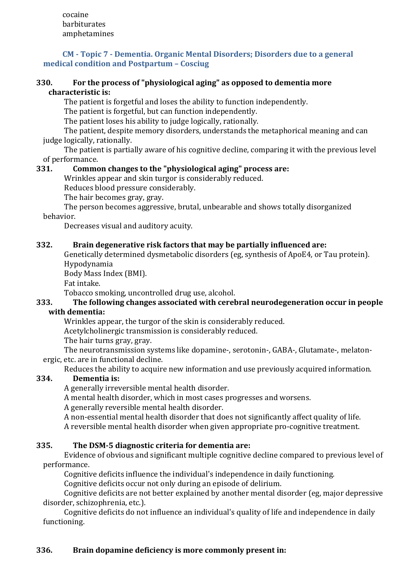cocaine barbiturates amphetamines

#### <span id="page-41-0"></span>**CM - Topic 7 - Dementia. Organic Mental Disorders; Disorders due to a general medical condition and Postpartum – Cosciug**

#### **330. For the process of "physiological aging" as opposed to dementia more characteristic is:**

The patient is forgetful and loses the ability to function independently.

The patient is forgetful, but can function independently.

The patient loses his ability to judge logically, rationally.

The patient, despite memory disorders, understands the metaphorical meaning and can judge logically, rationally.

The patient is partially aware of his cognitive decline, comparing it with the previous level of performance.

### **331. Common changes to the "physiological aging" process are:**

Wrinkles appear and skin turgor is considerably reduced.

Reduces blood pressure considerably.

The hair becomes gray, gray.

The person becomes aggressive, brutal, unbearable and shows totally disorganized behavior.

Decreases visual and auditory acuity.

#### **332. Brain degenerative risk factors that may be partially influenced are:**

Genetically determined dysmetabolic disorders (eg, synthesis of ApoE4, or Tau protein).

Hypodynamia

Body Mass Index (BMI).

Fat intake.

Tobacco smoking, uncontrolled drug use, alcohol.

#### **333. The following changes associated with cerebral neurodegeneration occur in people with dementia:**

Wrinkles appear, the turgor of the skin is considerably reduced.

Acetylcholinergic transmission is considerably reduced.

The hair turns gray, gray.

The neurotransmission systems like dopamine-, serotonin-, GABA-, Glutamate-, melatonergic, etc. are in functional decline.

Reduces the ability to acquire new information and use previously acquired information.

## **334. Dementia is:**

A generally irreversible mental health disorder.

A mental health disorder, which in most cases progresses and worsens.

A generally reversible mental health disorder.

A non-essential mental health disorder that does not significantly affect quality of life.

A reversible mental health disorder when given appropriate pro-cognitive treatment.

#### **335. The DSM-5 diagnostic criteria for dementia are:**

Evidence of obvious and significant multiple cognitive decline compared to previous level of performance.

Cognitive deficits influence the individual's independence in daily functioning. Cognitive deficits occur not only during an episode of delirium.

Cognitive deficits are not better explained by another mental disorder (eg, major depressive disorder, schizophrenia, etc.).

Cognitive deficits do not influence an individual's quality of life and independence in daily functioning.

## **336. Brain dopamine deficiency is more commonly present in:**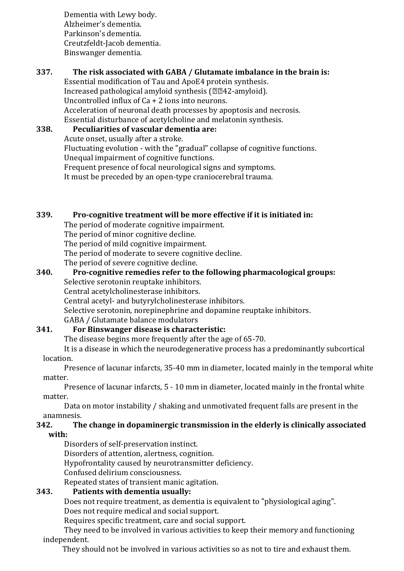Dementia with Lewy body. Alzheimer's dementia. Parkinson's dementia. Creutzfeldt-Jacob dementia. Binswanger dementia.

## **337. The risk associated with GABA / Glutamate imbalance in the brain is:**

Essential modification of Tau and ApoE4 protein synthesis. Increased pathological amyloid synthesis  $\lceil \sqrt{242} - \text{amvloid} \rceil$ . Uncontrolled influx of Ca + 2 ions into neurons. Acceleration of neuronal death processes by apoptosis and necrosis. Essential disturbance of acetylcholine and melatonin synthesis.

## **338. Peculiarities of vascular dementia are:** Acute onset, usually after a stroke. Fluctuating evolution - with the "gradual" collapse of cognitive functions. Unequal impairment of cognitive functions. Frequent presence of focal neurological signs and symptoms. It must be preceded by an open-type craniocerebral trauma.

## **339. Pro-cognitive treatment will be more effective if it is initiated in:**

The period of moderate cognitive impairment.

The period of minor cognitive decline.

The period of mild cognitive impairment.

The period of moderate to severe cognitive decline.

The period of severe cognitive decline.

#### **340. Pro-cognitive remedies refer to the following pharmacological groups:** Selective serotonin reuptake inhibitors.

Central acetylcholinesterase inhibitors.

Central acetyl- and butyrylcholinesterase inhibitors.

Selective serotonin, norepinephrine and dopamine reuptake inhibitors.

GABA / Glutamate balance modulators

## **341. For Binswanger disease is characteristic:**

The disease begins more frequently after the age of 65-70.

It is a disease in which the neurodegenerative process has a predominantly subcortical location.

Presence of lacunar infarcts, 35-40 mm in diameter, located mainly in the temporal white matter.

Presence of lacunar infarcts, 5 - 10 mm in diameter, located mainly in the frontal white matter.

Data on motor instability / shaking and unmotivated frequent falls are present in the anamnesis.

#### **342. The change in dopaminergic transmission in the elderly is clinically associated with:**

Disorders of self-preservation instinct.

Disorders of attention, alertness, cognition.

Hypofrontality caused by neurotransmitter deficiency.

Confused delirium consciousness.

Repeated states of transient manic agitation.

## **343. Patients with dementia usually:**

Does not require treatment, as dementia is equivalent to "physiological aging". Does not require medical and social support.

Requires specific treatment, care and social support.

They need to be involved in various activities to keep their memory and functioning independent.

They should not be involved in various activities so as not to tire and exhaust them.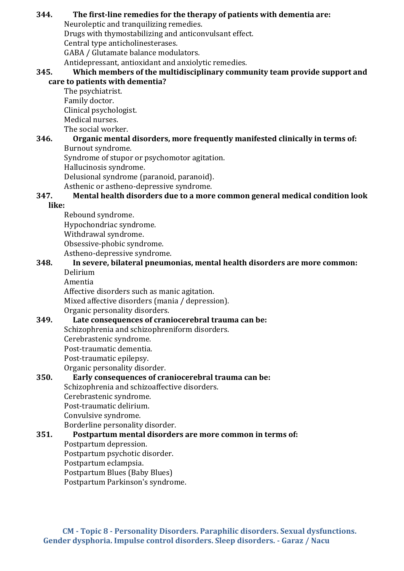#### **344. The first-line remedies for the therapy of patients with dementia are:**

Neuroleptic and tranquilizing remedies. Drugs with thymostabilizing and anticonvulsant effect. Central type anticholinesterases. GABA / Glutamate balance modulators. Antidepressant, antioxidant and anxiolytic remedies.

#### **345. Which members of the multidisciplinary community team provide support and care to patients with dementia?**

The psychiatrist. Family doctor. Clinical psychologist. Medical nurses. The social worker.

#### **346. Organic mental disorders, more frequently manifested clinically in terms of:** Burnout syndrome.

Syndrome of stupor or psychomotor agitation.

Hallucinosis syndrome.

Delusional syndrome (paranoid, paranoid).

Asthenic or astheno-depressive syndrome.

# **347. Mental health disorders due to a more common general medical condition look**

**like:**

Rebound syndrome. Hypochondriac syndrome. Withdrawal syndrome. Obsessive-phobic syndrome. Astheno-depressive syndrome.

#### **348. In severe, bilateral pneumonias, mental health disorders are more common:** Delirium

Amentia Affective disorders such as manic agitation. Mixed affective disorders (mania / depression). Organic personality disorders.

#### **349. Late consequences of craniocerebral trauma can be:** Schizophrenia and schizophreniform disorders.

Cerebrastenic syndrome.

Post-traumatic dementia.

Post-traumatic epilepsy.

Organic personality disorder.

## **350. Early consequences of craniocerebral trauma can be:**

Schizophrenia and schizoaffective disorders.

Cerebrastenic syndrome. Post-traumatic delirium.

Convulsive syndrome.

Borderline personality disorder.

## **351. Postpartum mental disorders are more common in terms of:**

Postpartum depression.

Postpartum psychotic disorder.

Postpartum eclampsia.

Postpartum Blues (Baby Blues)

<span id="page-43-0"></span>Postpartum Parkinson's syndrome.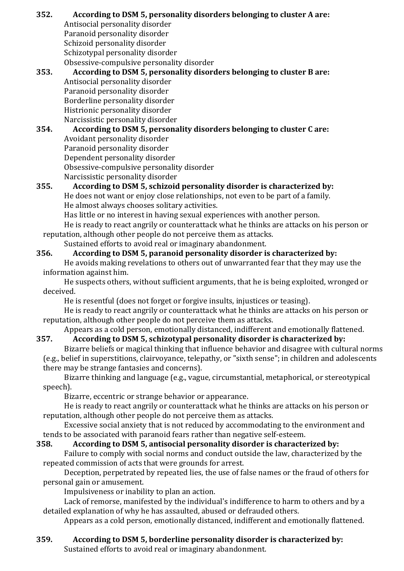**352. According to DSM 5, personality disorders belonging to cluster A are:** Antisocial personality disorder Paranoid personality disorder Schizoid personality disorder Schizotypal personality disorder Obsessive-compulsive personality disorder **353. According to DSM 5, personality disorders belonging to cluster B are:**

## Antisocial personality disorder Paranoid personality disorder Borderline personality disorder Histrionic personality disorder Narcissistic personality disorder **354. According to DSM 5, personality disorders belonging to cluster C are:**

Avoidant personality disorder Paranoid personality disorder Dependent personality disorder Obsessive-compulsive personality disorder Narcissistic personality disorder

## **355. According to DSM 5, schizoid personality disorder is characterized by:**

He does not want or enjoy close relationships, not even to be part of a family. He almost always chooses solitary activities.

Has little or no interest in having sexual experiences with another person.

He is ready to react angrily or counterattack what he thinks are attacks on his person or reputation, although other people do not perceive them as attacks.

Sustained efforts to avoid real or imaginary abandonment.

## **356. According to DSM 5, paranoid personality disorder is characterized by:**

He avoids making revelations to others out of unwarranted fear that they may use the information against him.

He suspects others, without sufficient arguments, that he is being exploited, wronged or deceived.

He is resentful (does not forget or forgive insults, injustices or teasing).

He is ready to react angrily or counterattack what he thinks are attacks on his person or reputation, although other people do not perceive them as attacks.

Appears as a cold person, emotionally distanced, indifferent and emotionally flattened.

## **357. According to DSM 5, schizotypal personality disorder is characterized by:**

Bizarre beliefs or magical thinking that influence behavior and disagree with cultural norms (e.g., belief in superstitions, clairvoyance, telepathy, or "sixth sense"; in children and adolescents there may be strange fantasies and concerns).

Bizarre thinking and language (e.g., vague, circumstantial, metaphorical, or stereotypical speech).

Bizarre, eccentric or strange behavior or appearance.

He is ready to react angrily or counterattack what he thinks are attacks on his person or reputation, although other people do not perceive them as attacks.

Excessive social anxiety that is not reduced by accommodating to the environment and tends to be associated with paranoid fears rather than negative self-esteem.

## **358. According to DSM 5, antisocial personality disorder is characterized by:**

Failure to comply with social norms and conduct outside the law, characterized by the repeated commission of acts that were grounds for arrest.

Deception, perpetrated by repeated lies, the use of false names or the fraud of others for personal gain or amusement.

Impulsiveness or inability to plan an action.

Lack of remorse, manifested by the individual's indifference to harm to others and by a detailed explanation of why he has assaulted, abused or defrauded others.

Appears as a cold person, emotionally distanced, indifferent and emotionally flattened.

# **359. According to DSM 5, borderline personality disorder is characterized by:**

Sustained efforts to avoid real or imaginary abandonment.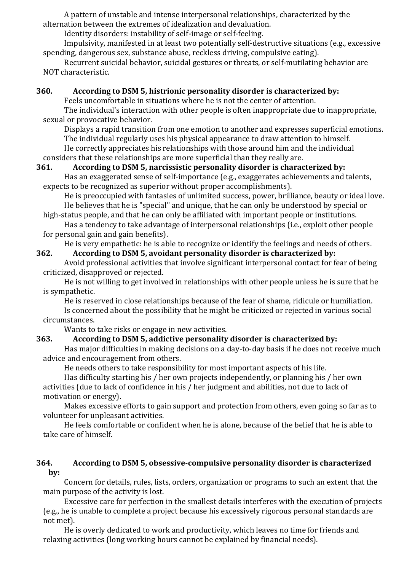A pattern of unstable and intense interpersonal relationships, characterized by the alternation between the extremes of idealization and devaluation.

Identity disorders: instability of self-image or self-feeling.

Impulsivity, manifested in at least two potentially self-destructive situations (e.g., excessive spending, dangerous sex, substance abuse, reckless driving, compulsive eating).

Recurrent suicidal behavior, suicidal gestures or threats, or self-mutilating behavior are NOT characteristic.

### **360. According to DSM 5, histrionic personality disorder is characterized by:**

Feels uncomfortable in situations where he is not the center of attention.

The individual's interaction with other people is often inappropriate due to inappropriate, sexual or provocative behavior.

Displays a rapid transition from one emotion to another and expresses superficial emotions. The individual regularly uses his physical appearance to draw attention to himself.

He correctly appreciates his relationships with those around him and the individual considers that these relationships are more superficial than they really are.

## **361. According to DSM 5, narcissistic personality disorder is characterized by:**

Has an exaggerated sense of self-importance (e.g., exaggerates achievements and talents, expects to be recognized as superior without proper accomplishments).

He is preoccupied with fantasies of unlimited success, power, brilliance, beauty or ideal love. He believes that he is "special" and unique, that he can only be understood by special or

high-status people, and that he can only be affiliated with important people or institutions. Has a tendency to take advantage of interpersonal relationships (i.e., exploit other people

for personal gain and gain benefits).

He is very empathetic: he is able to recognize or identify the feelings and needs of others.

### **362. According to DSM 5, avoidant personality disorder is characterized by:**

Avoid professional activities that involve significant interpersonal contact for fear of being criticized, disapproved or rejected.

He is not willing to get involved in relationships with other people unless he is sure that he is sympathetic.

He is reserved in close relationships because of the fear of shame, ridicule or humiliation.

Is concerned about the possibility that he might be criticized or rejected in various social circumstances.

Wants to take risks or engage in new activities.

## **363. According to DSM 5, addictive personality disorder is characterized by:**

Has major difficulties in making decisions on a day-to-day basis if he does not receive much advice and encouragement from others.

He needs others to take responsibility for most important aspects of his life.

Has difficulty starting his / her own projects independently, or planning his / her own activities (due to lack of confidence in his / her judgment and abilities, not due to lack of motivation or energy).

Makes excessive efforts to gain support and protection from others, even going so far as to volunteer for unpleasant activities.

He feels comfortable or confident when he is alone, because of the belief that he is able to take care of himself.

### **364. According to DSM 5, obsessive-compulsive personality disorder is characterized by:**

Concern for details, rules, lists, orders, organization or programs to such an extent that the main purpose of the activity is lost.

Excessive care for perfection in the smallest details interferes with the execution of projects (e.g., he is unable to complete a project because his excessively rigorous personal standards are not met).

He is overly dedicated to work and productivity, which leaves no time for friends and relaxing activities (long working hours cannot be explained by financial needs).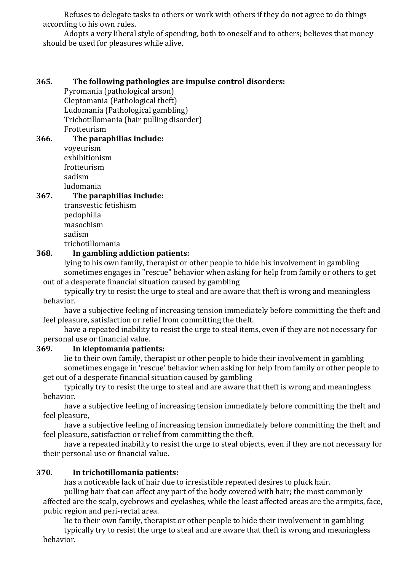Refuses to delegate tasks to others or work with others if they do not agree to do things according to his own rules.

Adopts a very liberal style of spending, both to oneself and to others; believes that money should be used for pleasures while alive.

#### **365. The following pathologies are impulse control disorders:**

Pyromania (pathological arson) Cleptomania (Pathological theft) Ludomania (Pathological gambling) Trichotillomania (hair pulling disorder) Frotteurism

**366. The paraphilias include:** voyeurism exhibitionism frotteurism sadism ludomania

#### **367. The paraphilias include:**

transvestic fetishism pedophilia masochism sadism trichotillomania

### **368. In gambling addiction patients:**

lying to his own family, therapist or other people to hide his involvement in gambling sometimes engages in "rescue" behavior when asking for help from family or others to get out of a desperate financial situation caused by gambling

typically try to resist the urge to steal and are aware that theft is wrong and meaningless behavior.

have a subjective feeling of increasing tension immediately before committing the theft and feel pleasure, satisfaction or relief from committing the theft.

have a repeated inability to resist the urge to steal items, even if they are not necessary for personal use or financial value.

#### **369. In kleptomania patients:**

lie to their own family, therapist or other people to hide their involvement in gambling sometimes engage in 'rescue' behavior when asking for help from family or other people to get out of a desperate financial situation caused by gambling

typically try to resist the urge to steal and are aware that theft is wrong and meaningless behavior.

have a subjective feeling of increasing tension immediately before committing the theft and feel pleasure,

have a subjective feeling of increasing tension immediately before committing the theft and feel pleasure, satisfaction or relief from committing the theft.

have a repeated inability to resist the urge to steal objects, even if they are not necessary for their personal use or financial value.

#### **370. In trichotillomania patients:**

has a noticeable lack of hair due to irresistible repeated desires to pluck hair.

pulling hair that can affect any part of the body covered with hair; the most commonly affected are the scalp, eyebrows and eyelashes, while the least affected areas are the armpits, face, pubic region and peri-rectal area.

lie to their own family, therapist or other people to hide their involvement in gambling typically try to resist the urge to steal and are aware that theft is wrong and meaningless behavior.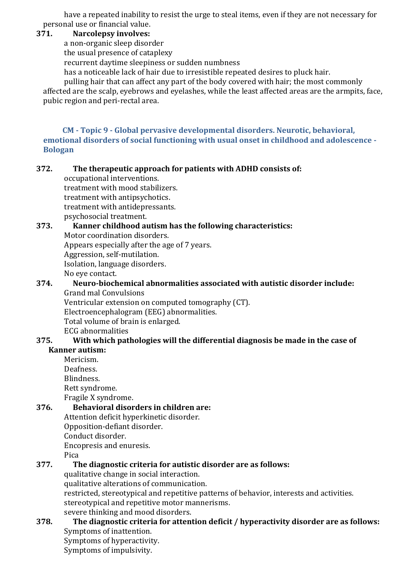have a repeated inability to resist the urge to steal items, even if they are not necessary for personal use or financial value.

## **371. Narcolepsy involves:**

a non-organic sleep disorder the usual presence of cataplexy recurrent daytime sleepiness or sudden numbness has a noticeable lack of hair due to irresistible repeated desires to pluck hair. pulling hair that can affect any part of the body covered with hair; the most commonly

affected are the scalp, eyebrows and eyelashes, while the least affected areas are the armpits, face, pubic region and peri-rectal area.

<span id="page-47-0"></span>**CM - Topic 9 - Global pervasive developmental disorders. Neurotic, behavioral, emotional disorders of social functioning with usual onset in childhood and adolescence - Bologan**

### **372. The therapeutic approach for patients with ADHD consists of:**

occupational interventions. treatment with mood stabilizers. treatment with antipsychotics. treatment with antidepressants.

psychosocial treatment.

## **373. Kanner childhood autism has the following characteristics:**

Motor coordination disorders. Appears especially after the age of 7 years. Aggression, self-mutilation. Isolation, language disorders. No eye contact.

#### **374. Neuro-biochemical abnormalities associated with autistic disorder include:** Grand mal Convulsions

Ventricular extension on computed tomography (CT). Electroencephalogram (EEG) abnormalities. Total volume of brain is enlarged. ECG abnormalities

## **375. With which pathologies will the differential diagnosis be made in the case of Kanner autism:**

Mericism. Deafness. Blindness. Rett syndrome. Fragile X syndrome.

## **376. Behavioral disorders in children are:**

Attention deficit hyperkinetic disorder. Opposition-defiant disorder.

Conduct disorder.

Encopresis and enuresis.

Pica

## **377. The diagnostic criteria for autistic disorder are as follows:**

qualitative change in social interaction.

qualitative alterations of communication.

restricted, stereotypical and repetitive patterns of behavior, interests and activities. stereotypical and repetitive motor mannerisms.

severe thinking and mood disorders.

## **378. The diagnostic criteria for attention deficit / hyperactivity disorder are as follows:** Symptoms of inattention. Symptoms of hyperactivity.

Symptoms of impulsivity.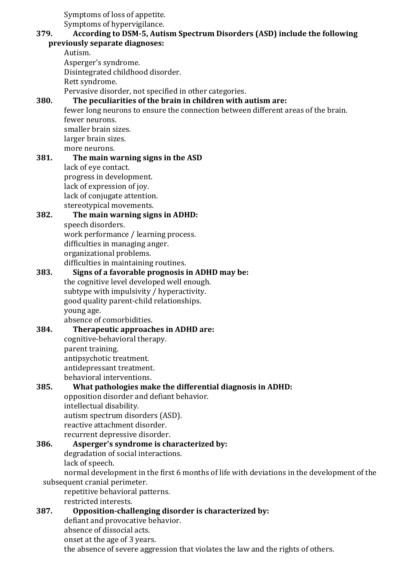Symptoms of loss of appetite. Symptoms of hypervigilance.

#### **379. According to DSM-5, Autism Spectrum Disorders (ASD) include the following previously separate diagnoses:**

Autism. Asperger's syndrome. Disintegrated childhood disorder. Rett syndrome. Pervasive disorder, not specified in other categories.

## **380. The peculiarities of the brain in children with autism are:**

fewer long neurons to ensure the connection between different areas of the brain. fewer neurons. smaller brain sizes. larger brain sizes. more neurons.

**381. The main warning signs in the ASD** lack of eye contact. progress in development. lack of expression of joy. lack of conjugate attention. stereotypical movements.

### **382. The main warning signs in ADHD:**

speech disorders. work performance / learning process. difficulties in managing anger. organizational problems. difficulties in maintaining routines.

## **383. Signs of a favorable prognosis in ADHD may be:**

the cognitive level developed well enough. subtype with impulsivity / hyperactivity. good quality parent-child relationships. young age. absence of comorbidities.

## **384. Therapeutic approaches in ADHD are:**

cognitive-behavioral therapy. parent training. antipsychotic treatment. antidepressant treatment. behavioral interventions.

## **385. What pathologies make the differential diagnosis in ADHD:**

opposition disorder and defiant behavior.

intellectual disability. autism spectrum disorders (ASD).

reactive attachment disorder.

recurrent depressive disorder.

## **386. Asperger's syndrome is characterized by:**

degradation of social interactions.

lack of speech.

normal development in the first 6 months of life with deviations in the development of the subsequent cranial perimeter.

repetitive behavioral patterns. restricted interests.

**387. Opposition-challenging disorder is characterized by:** defiant and provocative behavior. absence of dissocial acts. onset at the age of 3 years.

the absence of severe aggression that violates the law and the rights of others.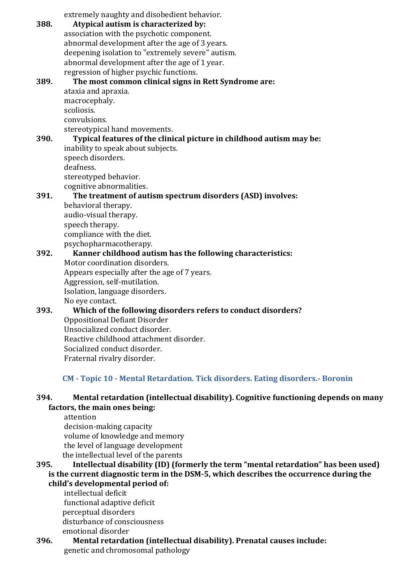extremely naughty and disobedient behavior. **388. Atypical autism is characterized by:** association with the psychotic component. abnormal development after the age of 3 years. deepening isolation to "extremely severe" autism. abnormal development after the age of 1 year. regression of higher psychic functions. **389. The most common clinical signs in Rett Syndrome are:** ataxia and apraxia. macrocephaly. scoliosis. convulsions. stereotypical hand movements. **390. Typical features of the clinical picture in childhood autism may be:** inability to speak about subjects. speech disorders. deafness. stereotyped behavior. cognitive abnormalities. **391. The treatment of autism spectrum disorders (ASD) involves:** behavioral therapy. audio-visual therapy. speech therapy. compliance with the diet. psychopharmacotherapy. **392. Kanner childhood autism has the following characteristics:** Motor coordination disorders. Appears especially after the age of 7 years. Aggression, self-mutilation. Isolation, language disorders. No eye contact. **393. Which of the following disorders refers to conduct disorders?** Oppositional Defiant Disorder Unsocialized conduct disorder. Reactive childhood attachment disorder. Socialized conduct disorder. Fraternal rivalry disorder.

#### **CM - Topic 10 - Mental Retardation. Tick disorders. Eating disorders.- Boronin**

#### <span id="page-49-0"></span>**394. Mental retardation (intellectual disability). Cognitive functioning depends on many factors, the main ones being:**

attention decision-making capacity volume of knowledge and memory the level of language development the intellectual level of the parents

#### **395. Intellectual disability (ID) (formerly the term "mental retardation" has been used) is the current diagnostic term in the DSM-5, which describes the occurrence during the child's developmental period of:**

intellectual deficit functional adaptive deficit perceptual disorders disturbance of consciousness emotional disorder

**396. Mental retardation (intellectual disability). Prenatal causes include:** genetic and chromosomal pathology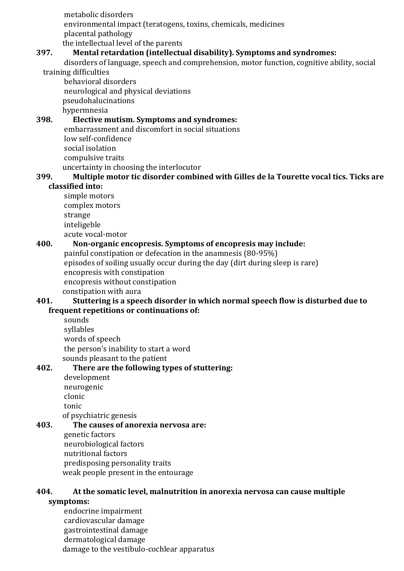metabolic disorders environmental impact (teratogens, toxins, chemicals, medicines placental pathology the intellectual level of the parents

### **397. Mental retardation (intellectual disability). Symptoms and syndromes:**

disorders of language, speech and comprehension, motor function, cognitive ability, social training difficulties

behavioral disorders neurological and physical deviations pseudohalucinations hypermnesia

#### **398. Elective mutism. Symptoms and syndromes:**

embarrassment and discomfort in social situations low self-confidence social isolation compulsive traits uncertainty in choosing the interlocutor

### **399. Multiple motor tic disorder combined with Gilles de la Tourette vocal tics. Ticks are classified into:**

simple motors complex motors strange inteligeble acute vocal-motor

### **400. Non-organic encopresis. Symptoms of encopresis may include:**

painful constipation or defecation in the anamnesis (80-95%) episodes of soiling usually occur during the day (dirt during sleep is rare) encopresis with constipation encopresis without constipation

constipation with aura

#### **401. Stuttering is a speech disorder in which normal speech flow is disturbed due to frequent repetitions or continuations of:**

sounds syllables words of speech the person's inability to start a word sounds pleasant to the patient

## **402. There are the following types of stuttering:**

development neurogenic clonic tonic of psychiatric genesis

#### **403. The causes of anorexia nervosa are:** genetic factors neurobiological factors nutritional factors predisposing personality traits weak people present in the entourage

#### **404. At the somatic level, malnutrition in anorexia nervosa can cause multiple symptoms:**

endocrine impairment cardiovascular damage gastrointestinal damage dermatological damage damage to the vestibulo-cochlear apparatus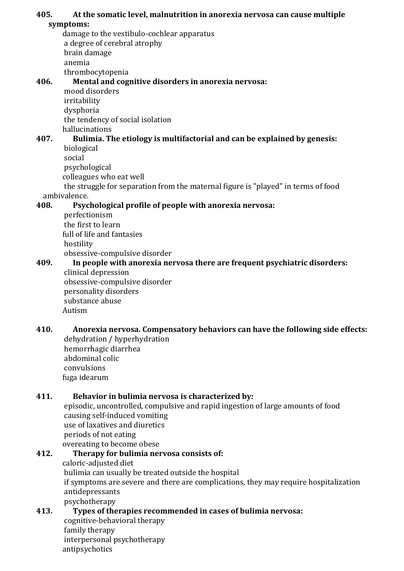#### **405. At the somatic level, malnutrition in anorexia nervosa can cause multiple symptoms:**

damage to the vestibulo-cochlear apparatus a degree of cerebral atrophy brain damage anemia thrombocytopenia

### **406. Mental and cognitive disorders in anorexia nervosa:**

mood disorders irritability dysphoria the tendency of social isolation hallucinations

#### **407. Bulimia. The etiology is multifactorial and can be explained by genesis:** biological

social

psychological

colleagues who eat well

the struggle for separation from the maternal figure is "played" in terms of food ambivalence.

## **408. Psychological profile of people with anorexia nervosa:**

perfectionism the first to learn full of life and fantasies hostility obsessive-compulsive disorder

### **409. In people with anorexia nervosa there are frequent psychiatric disorders:**

clinical depression obsessive-compulsive disorder personality disorders substance abuse Autism

## **410. Anorexia nervosa. Compensatory behaviors can have the following side effects:**

dehydration / hyperhydration hemorrhagic diarrhea abdominal colic convulsions fuga idearum

## **411. Behavior in bulimia nervosa is characterized by:**

episodic, uncontrolled, compulsive and rapid ingestion of large amounts of food causing self-induced vomiting use of laxatives and diuretics periods of not eating overeating to become obese

## **412. Therapy for bulimia nervosa consists of:** caloric-adjusted diet bulimia can usually be treated outside the hospital if symptoms are severe and there are complications, they may require hospitalization antidepressants psychotherapy

**413. Types of therapies recommended in cases of bulimia nervosa:** cognitive-behavioral therapy family therapy interpersonal psychotherapy antipsychotics